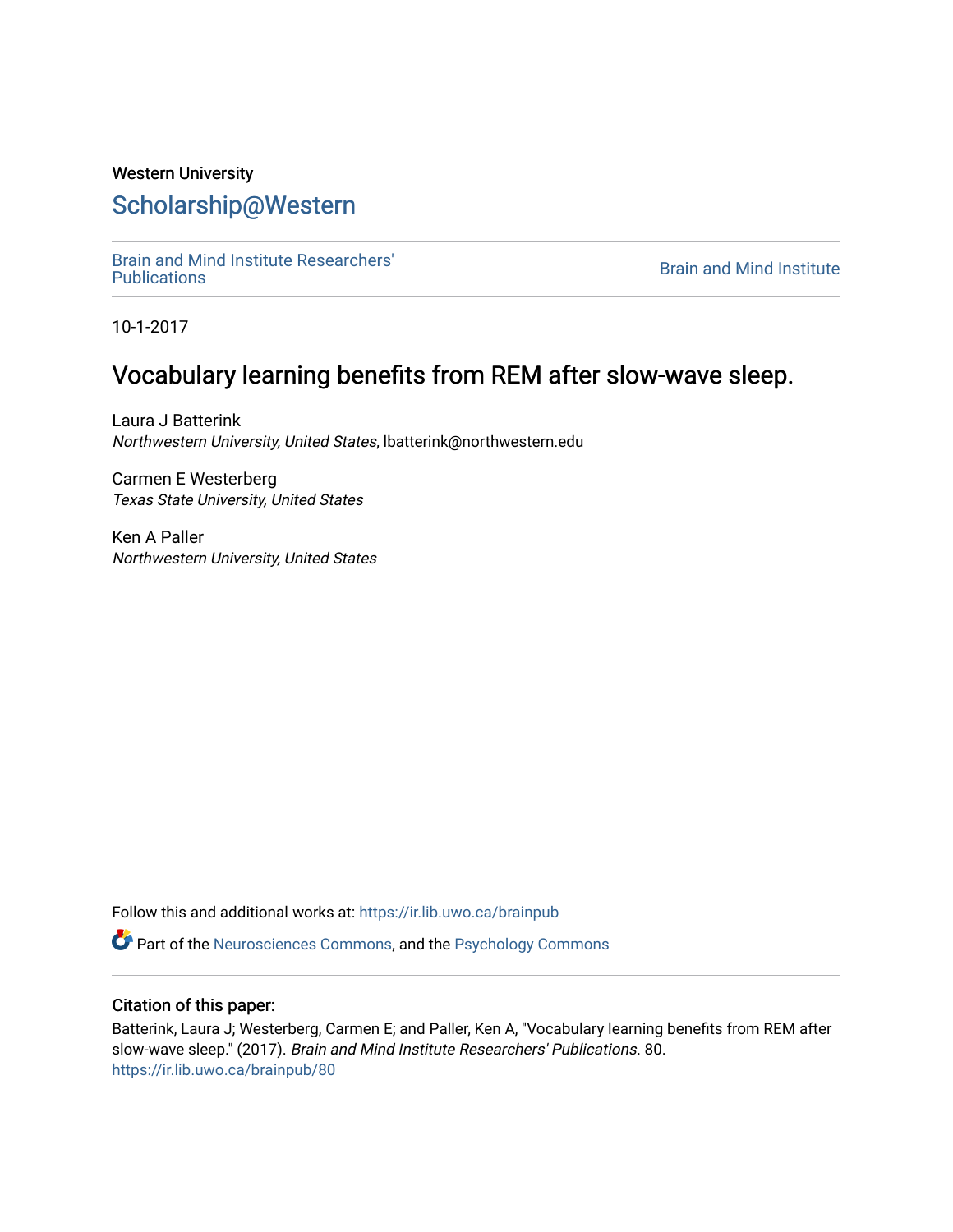# Western University [Scholarship@Western](https://ir.lib.uwo.ca/)

[Brain and Mind Institute Researchers'](https://ir.lib.uwo.ca/brainpub) 

**Brain and Mind Institute** 

10-1-2017

# Vocabulary learning benefits from REM after slow-wave sleep.

Laura J Batterink Northwestern University, United States, lbatterink@northwestern.edu

Carmen E Westerberg Texas State University, United States

Ken A Paller Northwestern University, United States

Follow this and additional works at: [https://ir.lib.uwo.ca/brainpub](https://ir.lib.uwo.ca/brainpub?utm_source=ir.lib.uwo.ca%2Fbrainpub%2F80&utm_medium=PDF&utm_campaign=PDFCoverPages)

Part of the [Neurosciences Commons](http://network.bepress.com/hgg/discipline/1010?utm_source=ir.lib.uwo.ca%2Fbrainpub%2F80&utm_medium=PDF&utm_campaign=PDFCoverPages), and the [Psychology Commons](http://network.bepress.com/hgg/discipline/404?utm_source=ir.lib.uwo.ca%2Fbrainpub%2F80&utm_medium=PDF&utm_campaign=PDFCoverPages) 

### Citation of this paper:

Batterink, Laura J; Westerberg, Carmen E; and Paller, Ken A, "Vocabulary learning benefits from REM after slow-wave sleep." (2017). Brain and Mind Institute Researchers' Publications. 80. [https://ir.lib.uwo.ca/brainpub/80](https://ir.lib.uwo.ca/brainpub/80?utm_source=ir.lib.uwo.ca%2Fbrainpub%2F80&utm_medium=PDF&utm_campaign=PDFCoverPages)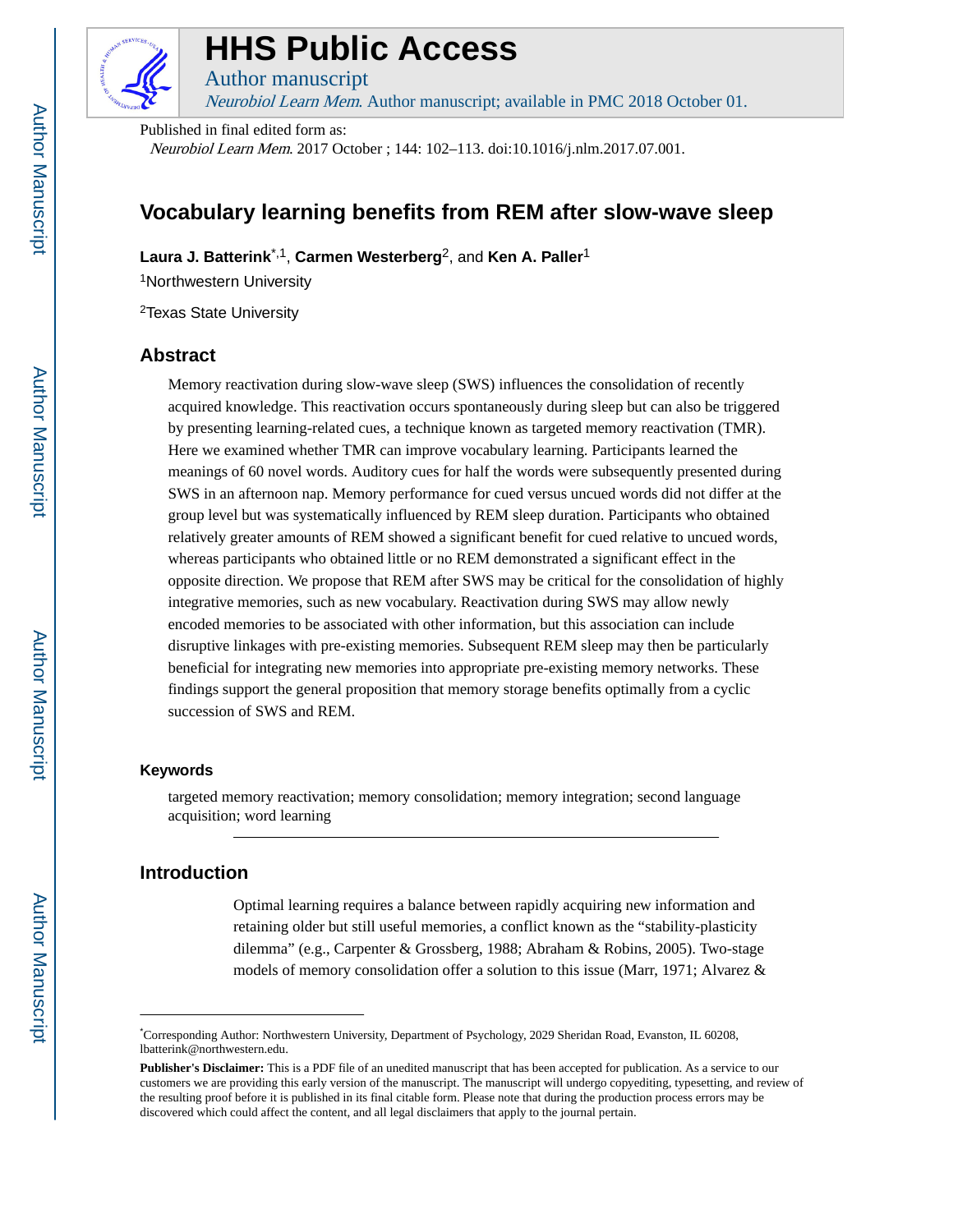

# **HHS Public Access**

Author manuscript

Neurobiol Learn Mem. Author manuscript; available in PMC 2018 October 01.

Published in final edited form as: Neurobiol Learn Mem. 2017 October ; 144: 102–113. doi:10.1016/j.nlm.2017.07.001.

# **Vocabulary learning benefits from REM after slow-wave sleep**

**Laura J. Batterink**\*,1, **Carmen Westerberg**2, and **Ken A. Paller**<sup>1</sup>

<sup>1</sup>Northwestern University

<sup>2</sup>Texas State University

### **Abstract**

Memory reactivation during slow-wave sleep (SWS) influences the consolidation of recently acquired knowledge. This reactivation occurs spontaneously during sleep but can also be triggered by presenting learning-related cues, a technique known as targeted memory reactivation (TMR). Here we examined whether TMR can improve vocabulary learning. Participants learned the meanings of 60 novel words. Auditory cues for half the words were subsequently presented during SWS in an afternoon nap. Memory performance for cued versus uncued words did not differ at the group level but was systematically influenced by REM sleep duration. Participants who obtained relatively greater amounts of REM showed a significant benefit for cued relative to uncued words, whereas participants who obtained little or no REM demonstrated a significant effect in the opposite direction. We propose that REM after SWS may be critical for the consolidation of highly integrative memories, such as new vocabulary. Reactivation during SWS may allow newly encoded memories to be associated with other information, but this association can include disruptive linkages with pre-existing memories. Subsequent REM sleep may then be particularly beneficial for integrating new memories into appropriate pre-existing memory networks. These findings support the general proposition that memory storage benefits optimally from a cyclic succession of SWS and REM.

#### **Keywords**

targeted memory reactivation; memory consolidation; memory integration; second language acquisition; word learning

### **Introduction**

Optimal learning requires a balance between rapidly acquiring new information and retaining older but still useful memories, a conflict known as the "stability-plasticity dilemma" (e.g., Carpenter & Grossberg, 1988; Abraham & Robins, 2005). Two-stage models of memory consolidation offer a solution to this issue (Marr, 1971; Alvarez &

<sup>\*</sup>Corresponding Author: Northwestern University, Department of Psychology, 2029 Sheridan Road, Evanston, IL 60208, lbatterink@northwestern.edu.

**Publisher's Disclaimer:** This is a PDF file of an unedited manuscript that has been accepted for publication. As a service to our customers we are providing this early version of the manuscript. The manuscript will undergo copyediting, typesetting, and review of the resulting proof before it is published in its final citable form. Please note that during the production process errors may be discovered which could affect the content, and all legal disclaimers that apply to the journal pertain.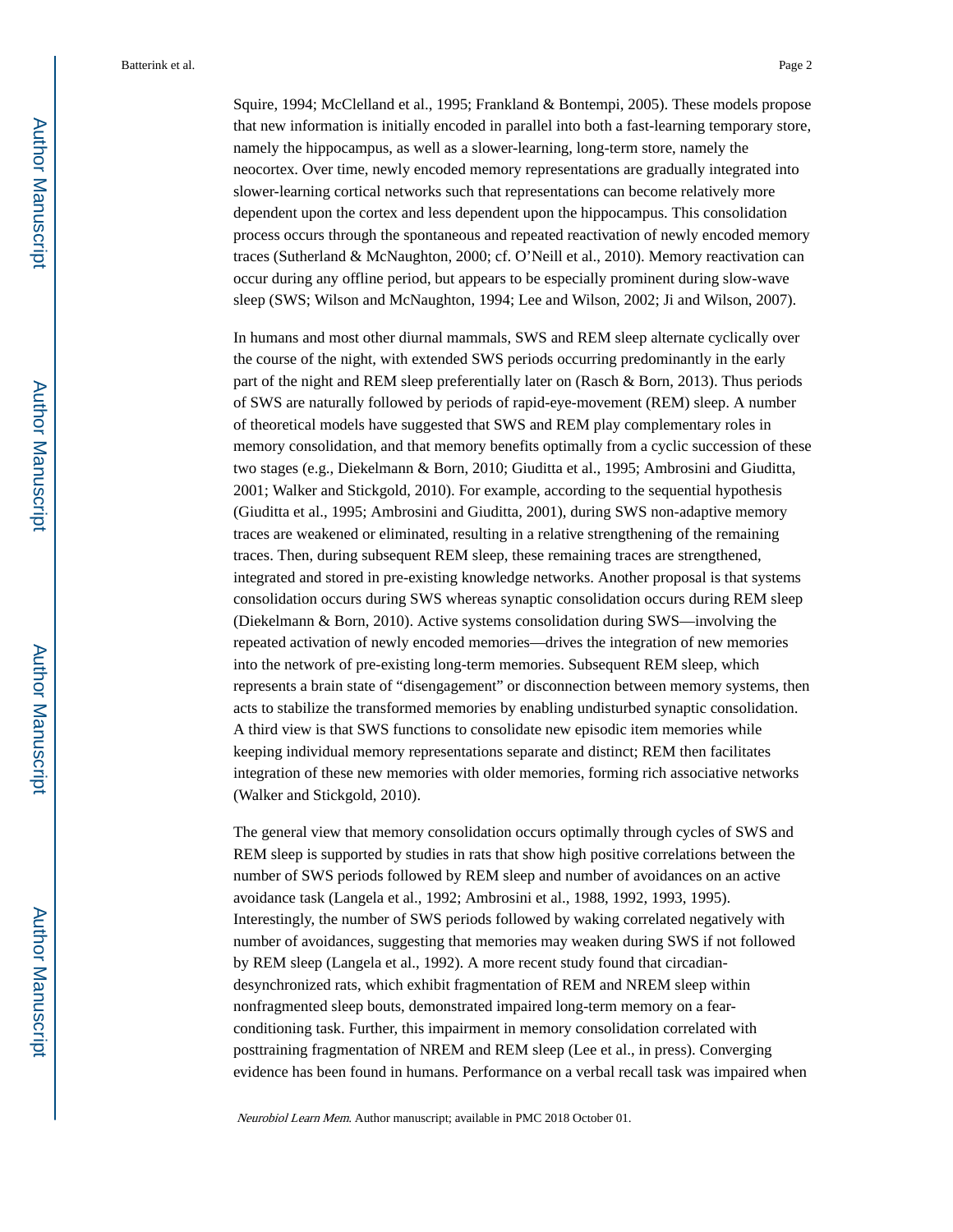Squire, 1994; McClelland et al., 1995; Frankland & Bontempi, 2005). These models propose that new information is initially encoded in parallel into both a fast-learning temporary store, namely the hippocampus, as well as a slower-learning, long-term store, namely the neocortex. Over time, newly encoded memory representations are gradually integrated into slower-learning cortical networks such that representations can become relatively more dependent upon the cortex and less dependent upon the hippocampus. This consolidation process occurs through the spontaneous and repeated reactivation of newly encoded memory traces (Sutherland & McNaughton, 2000; cf. O'Neill et al., 2010). Memory reactivation can occur during any offline period, but appears to be especially prominent during slow-wave sleep (SWS; Wilson and McNaughton, 1994; Lee and Wilson, 2002; Ji and Wilson, 2007).

In humans and most other diurnal mammals, SWS and REM sleep alternate cyclically over the course of the night, with extended SWS periods occurring predominantly in the early part of the night and REM sleep preferentially later on (Rasch & Born, 2013). Thus periods of SWS are naturally followed by periods of rapid-eye-movement (REM) sleep. A number of theoretical models have suggested that SWS and REM play complementary roles in memory consolidation, and that memory benefits optimally from a cyclic succession of these two stages (e.g., Diekelmann & Born, 2010; Giuditta et al., 1995; Ambrosini and Giuditta, 2001; Walker and Stickgold, 2010). For example, according to the sequential hypothesis (Giuditta et al., 1995; Ambrosini and Giuditta, 2001), during SWS non-adaptive memory traces are weakened or eliminated, resulting in a relative strengthening of the remaining traces. Then, during subsequent REM sleep, these remaining traces are strengthened, integrated and stored in pre-existing knowledge networks. Another proposal is that systems consolidation occurs during SWS whereas synaptic consolidation occurs during REM sleep (Diekelmann & Born, 2010). Active systems consolidation during SWS—involving the repeated activation of newly encoded memories—drives the integration of new memories into the network of pre-existing long-term memories. Subsequent REM sleep, which represents a brain state of "disengagement" or disconnection between memory systems, then acts to stabilize the transformed memories by enabling undisturbed synaptic consolidation. A third view is that SWS functions to consolidate new episodic item memories while keeping individual memory representations separate and distinct; REM then facilitates integration of these new memories with older memories, forming rich associative networks (Walker and Stickgold, 2010).

The general view that memory consolidation occurs optimally through cycles of SWS and REM sleep is supported by studies in rats that show high positive correlations between the number of SWS periods followed by REM sleep and number of avoidances on an active avoidance task (Langela et al., 1992; Ambrosini et al., 1988, 1992, 1993, 1995). Interestingly, the number of SWS periods followed by waking correlated negatively with number of avoidances, suggesting that memories may weaken during SWS if not followed by REM sleep (Langela et al., 1992). A more recent study found that circadiandesynchronized rats, which exhibit fragmentation of REM and NREM sleep within nonfragmented sleep bouts, demonstrated impaired long-term memory on a fearconditioning task. Further, this impairment in memory consolidation correlated with posttraining fragmentation of NREM and REM sleep (Lee et al., in press). Converging evidence has been found in humans. Performance on a verbal recall task was impaired when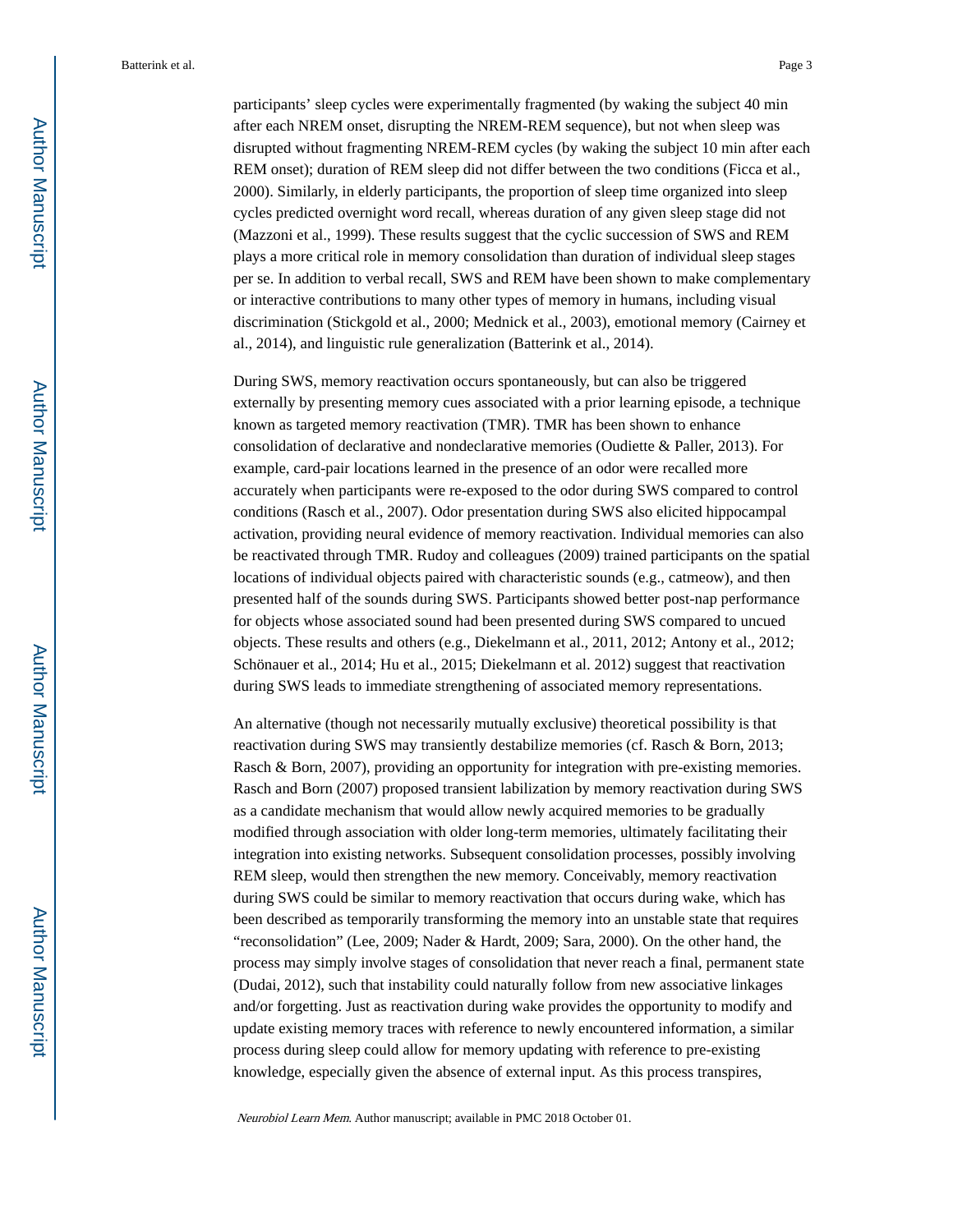participants' sleep cycles were experimentally fragmented (by waking the subject 40 min after each NREM onset, disrupting the NREM-REM sequence), but not when sleep was disrupted without fragmenting NREM-REM cycles (by waking the subject 10 min after each REM onset); duration of REM sleep did not differ between the two conditions (Ficca et al., 2000). Similarly, in elderly participants, the proportion of sleep time organized into sleep cycles predicted overnight word recall, whereas duration of any given sleep stage did not (Mazzoni et al., 1999). These results suggest that the cyclic succession of SWS and REM plays a more critical role in memory consolidation than duration of individual sleep stages per se. In addition to verbal recall, SWS and REM have been shown to make complementary or interactive contributions to many other types of memory in humans, including visual discrimination (Stickgold et al., 2000; Mednick et al., 2003), emotional memory (Cairney et al., 2014), and linguistic rule generalization (Batterink et al., 2014).

During SWS, memory reactivation occurs spontaneously, but can also be triggered externally by presenting memory cues associated with a prior learning episode, a technique known as targeted memory reactivation (TMR). TMR has been shown to enhance consolidation of declarative and nondeclarative memories (Oudiette & Paller, 2013). For example, card-pair locations learned in the presence of an odor were recalled more accurately when participants were re-exposed to the odor during SWS compared to control conditions (Rasch et al., 2007). Odor presentation during SWS also elicited hippocampal activation, providing neural evidence of memory reactivation. Individual memories can also be reactivated through TMR. Rudoy and colleagues (2009) trained participants on the spatial locations of individual objects paired with characteristic sounds (e.g., catmeow), and then presented half of the sounds during SWS. Participants showed better post-nap performance for objects whose associated sound had been presented during SWS compared to uncued objects. These results and others (e.g., Diekelmann et al., 2011, 2012; Antony et al., 2012; Schönauer et al., 2014; Hu et al., 2015; Diekelmann et al. 2012) suggest that reactivation during SWS leads to immediate strengthening of associated memory representations.

An alternative (though not necessarily mutually exclusive) theoretical possibility is that reactivation during SWS may transiently destabilize memories (cf. Rasch & Born, 2013; Rasch & Born, 2007), providing an opportunity for integration with pre-existing memories. Rasch and Born (2007) proposed transient labilization by memory reactivation during SWS as a candidate mechanism that would allow newly acquired memories to be gradually modified through association with older long-term memories, ultimately facilitating their integration into existing networks. Subsequent consolidation processes, possibly involving REM sleep, would then strengthen the new memory. Conceivably, memory reactivation during SWS could be similar to memory reactivation that occurs during wake, which has been described as temporarily transforming the memory into an unstable state that requires "reconsolidation" (Lee, 2009; Nader & Hardt, 2009; Sara, 2000). On the other hand, the process may simply involve stages of consolidation that never reach a final, permanent state (Dudai, 2012), such that instability could naturally follow from new associative linkages and/or forgetting. Just as reactivation during wake provides the opportunity to modify and update existing memory traces with reference to newly encountered information, a similar process during sleep could allow for memory updating with reference to pre-existing knowledge, especially given the absence of external input. As this process transpires,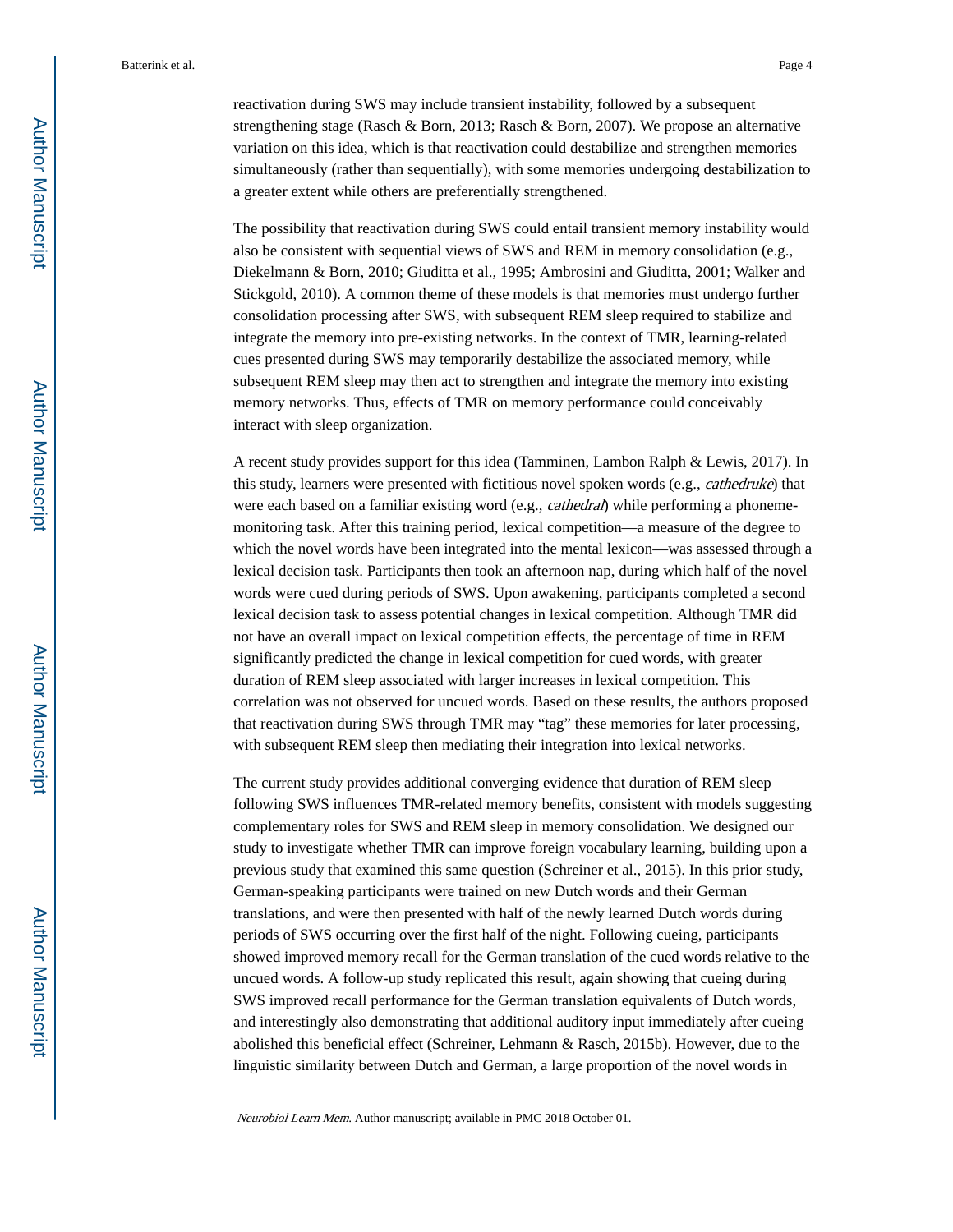reactivation during SWS may include transient instability, followed by a subsequent strengthening stage (Rasch & Born, 2013; Rasch & Born, 2007). We propose an alternative variation on this idea, which is that reactivation could destabilize and strengthen memories simultaneously (rather than sequentially), with some memories undergoing destabilization to a greater extent while others are preferentially strengthened.

The possibility that reactivation during SWS could entail transient memory instability would also be consistent with sequential views of SWS and REM in memory consolidation (e.g., Diekelmann & Born, 2010; Giuditta et al., 1995; Ambrosini and Giuditta, 2001; Walker and Stickgold, 2010). A common theme of these models is that memories must undergo further consolidation processing after SWS, with subsequent REM sleep required to stabilize and integrate the memory into pre-existing networks. In the context of TMR, learning-related cues presented during SWS may temporarily destabilize the associated memory, while subsequent REM sleep may then act to strengthen and integrate the memory into existing memory networks. Thus, effects of TMR on memory performance could conceivably interact with sleep organization.

A recent study provides support for this idea (Tamminen, Lambon Ralph & Lewis, 2017). In this study, learners were presented with fictitious novel spoken words (e.g., cathedruke) that were each based on a familiar existing word (e.g., cathedral) while performing a phonememonitoring task. After this training period, lexical competition—a measure of the degree to which the novel words have been integrated into the mental lexicon—was assessed through a lexical decision task. Participants then took an afternoon nap, during which half of the novel words were cued during periods of SWS. Upon awakening, participants completed a second lexical decision task to assess potential changes in lexical competition. Although TMR did not have an overall impact on lexical competition effects, the percentage of time in REM significantly predicted the change in lexical competition for cued words, with greater duration of REM sleep associated with larger increases in lexical competition. This correlation was not observed for uncued words. Based on these results, the authors proposed that reactivation during SWS through TMR may "tag" these memories for later processing, with subsequent REM sleep then mediating their integration into lexical networks.

The current study provides additional converging evidence that duration of REM sleep following SWS influences TMR-related memory benefits, consistent with models suggesting complementary roles for SWS and REM sleep in memory consolidation. We designed our study to investigate whether TMR can improve foreign vocabulary learning, building upon a previous study that examined this same question (Schreiner et al., 2015). In this prior study, German-speaking participants were trained on new Dutch words and their German translations, and were then presented with half of the newly learned Dutch words during periods of SWS occurring over the first half of the night. Following cueing, participants showed improved memory recall for the German translation of the cued words relative to the uncued words. A follow-up study replicated this result, again showing that cueing during SWS improved recall performance for the German translation equivalents of Dutch words, and interestingly also demonstrating that additional auditory input immediately after cueing abolished this beneficial effect (Schreiner, Lehmann & Rasch, 2015b). However, due to the linguistic similarity between Dutch and German, a large proportion of the novel words in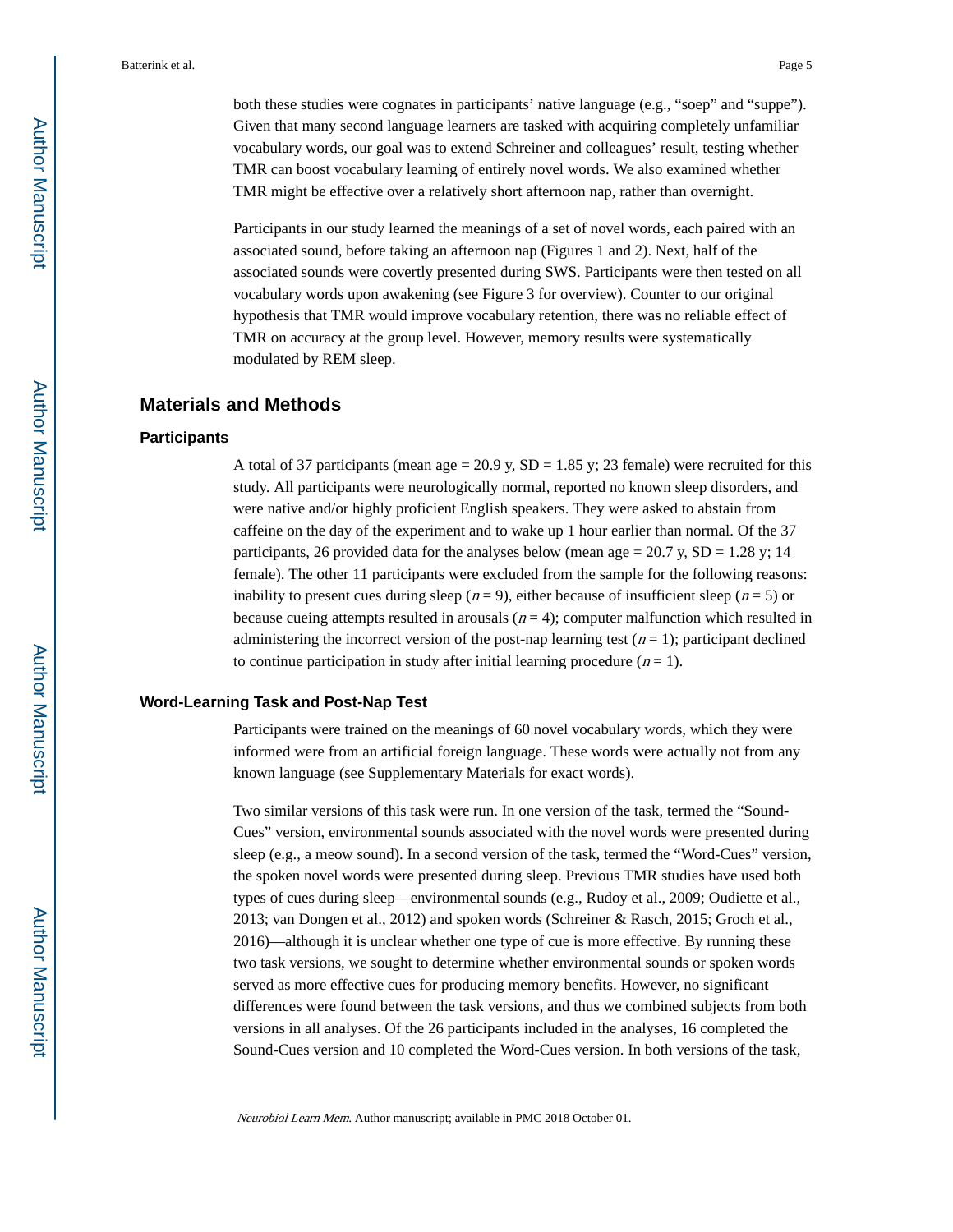both these studies were cognates in participants' native language (e.g., "soep" and "suppe"). Given that many second language learners are tasked with acquiring completely unfamiliar vocabulary words, our goal was to extend Schreiner and colleagues' result, testing whether TMR can boost vocabulary learning of entirely novel words. We also examined whether TMR might be effective over a relatively short afternoon nap, rather than overnight.

Participants in our study learned the meanings of a set of novel words, each paired with an associated sound, before taking an afternoon nap (Figures 1 and 2). Next, half of the associated sounds were covertly presented during SWS. Participants were then tested on all vocabulary words upon awakening (see Figure 3 for overview). Counter to our original hypothesis that TMR would improve vocabulary retention, there was no reliable effect of TMR on accuracy at the group level. However, memory results were systematically modulated by REM sleep.

### **Materials and Methods**

#### **Participants**

A total of 37 participants (mean age  $= 20.9$  y, SD  $= 1.85$  y; 23 female) were recruited for this study. All participants were neurologically normal, reported no known sleep disorders, and were native and/or highly proficient English speakers. They were asked to abstain from caffeine on the day of the experiment and to wake up 1 hour earlier than normal. Of the 37 participants, 26 provided data for the analyses below (mean age  $= 20.7$  y,  $SD = 1.28$  y; 14 female). The other 11 participants were excluded from the sample for the following reasons: inability to present cues during sleep ( $n = 9$ ), either because of insufficient sleep ( $n = 5$ ) or because cueing attempts resulted in arousals  $(n = 4)$ ; computer malfunction which resulted in administering the incorrect version of the post-nap learning test  $(n = 1)$ ; participant declined to continue participation in study after initial learning procedure  $(n = 1)$ .

#### **Word-Learning Task and Post-Nap Test**

Participants were trained on the meanings of 60 novel vocabulary words, which they were informed were from an artificial foreign language. These words were actually not from any known language (see Supplementary Materials for exact words).

Two similar versions of this task were run. In one version of the task, termed the "Sound-Cues" version, environmental sounds associated with the novel words were presented during sleep (e.g., a meow sound). In a second version of the task, termed the "Word-Cues" version, the spoken novel words were presented during sleep. Previous TMR studies have used both types of cues during sleep—environmental sounds (e.g., Rudoy et al., 2009; Oudiette et al., 2013; van Dongen et al., 2012) and spoken words (Schreiner & Rasch, 2015; Groch et al., 2016)—although it is unclear whether one type of cue is more effective. By running these two task versions, we sought to determine whether environmental sounds or spoken words served as more effective cues for producing memory benefits. However, no significant differences were found between the task versions, and thus we combined subjects from both versions in all analyses. Of the 26 participants included in the analyses, 16 completed the Sound-Cues version and 10 completed the Word-Cues version. In both versions of the task,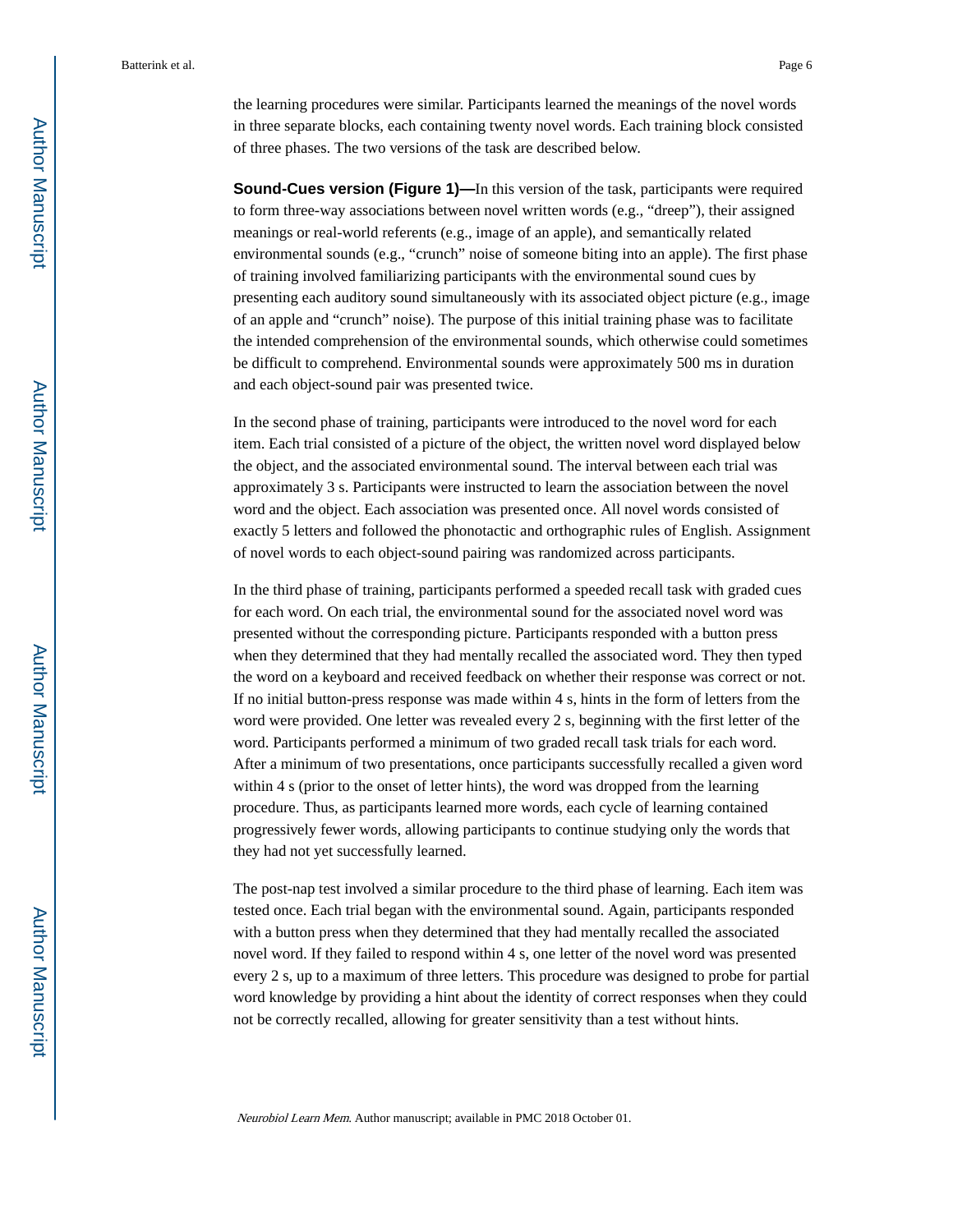the learning procedures were similar. Participants learned the meanings of the novel words in three separate blocks, each containing twenty novel words. Each training block consisted of three phases. The two versions of the task are described below.

**Sound-Cues version (Figure 1)—In this version of the task, participants were required** to form three-way associations between novel written words (e.g., "dreep"), their assigned meanings or real-world referents (e.g., image of an apple), and semantically related environmental sounds (e.g., "crunch" noise of someone biting into an apple). The first phase of training involved familiarizing participants with the environmental sound cues by presenting each auditory sound simultaneously with its associated object picture (e.g., image of an apple and "crunch" noise). The purpose of this initial training phase was to facilitate the intended comprehension of the environmental sounds, which otherwise could sometimes be difficult to comprehend. Environmental sounds were approximately 500 ms in duration and each object-sound pair was presented twice.

In the second phase of training, participants were introduced to the novel word for each item. Each trial consisted of a picture of the object, the written novel word displayed below the object, and the associated environmental sound. The interval between each trial was approximately 3 s. Participants were instructed to learn the association between the novel word and the object. Each association was presented once. All novel words consisted of exactly 5 letters and followed the phonotactic and orthographic rules of English. Assignment of novel words to each object-sound pairing was randomized across participants.

In the third phase of training, participants performed a speeded recall task with graded cues for each word. On each trial, the environmental sound for the associated novel word was presented without the corresponding picture. Participants responded with a button press when they determined that they had mentally recalled the associated word. They then typed the word on a keyboard and received feedback on whether their response was correct or not. If no initial button-press response was made within 4 s, hints in the form of letters from the word were provided. One letter was revealed every 2 s, beginning with the first letter of the word. Participants performed a minimum of two graded recall task trials for each word. After a minimum of two presentations, once participants successfully recalled a given word within 4 s (prior to the onset of letter hints), the word was dropped from the learning procedure. Thus, as participants learned more words, each cycle of learning contained progressively fewer words, allowing participants to continue studying only the words that they had not yet successfully learned.

The post-nap test involved a similar procedure to the third phase of learning. Each item was tested once. Each trial began with the environmental sound. Again, participants responded with a button press when they determined that they had mentally recalled the associated novel word. If they failed to respond within 4 s, one letter of the novel word was presented every 2 s, up to a maximum of three letters. This procedure was designed to probe for partial word knowledge by providing a hint about the identity of correct responses when they could not be correctly recalled, allowing for greater sensitivity than a test without hints.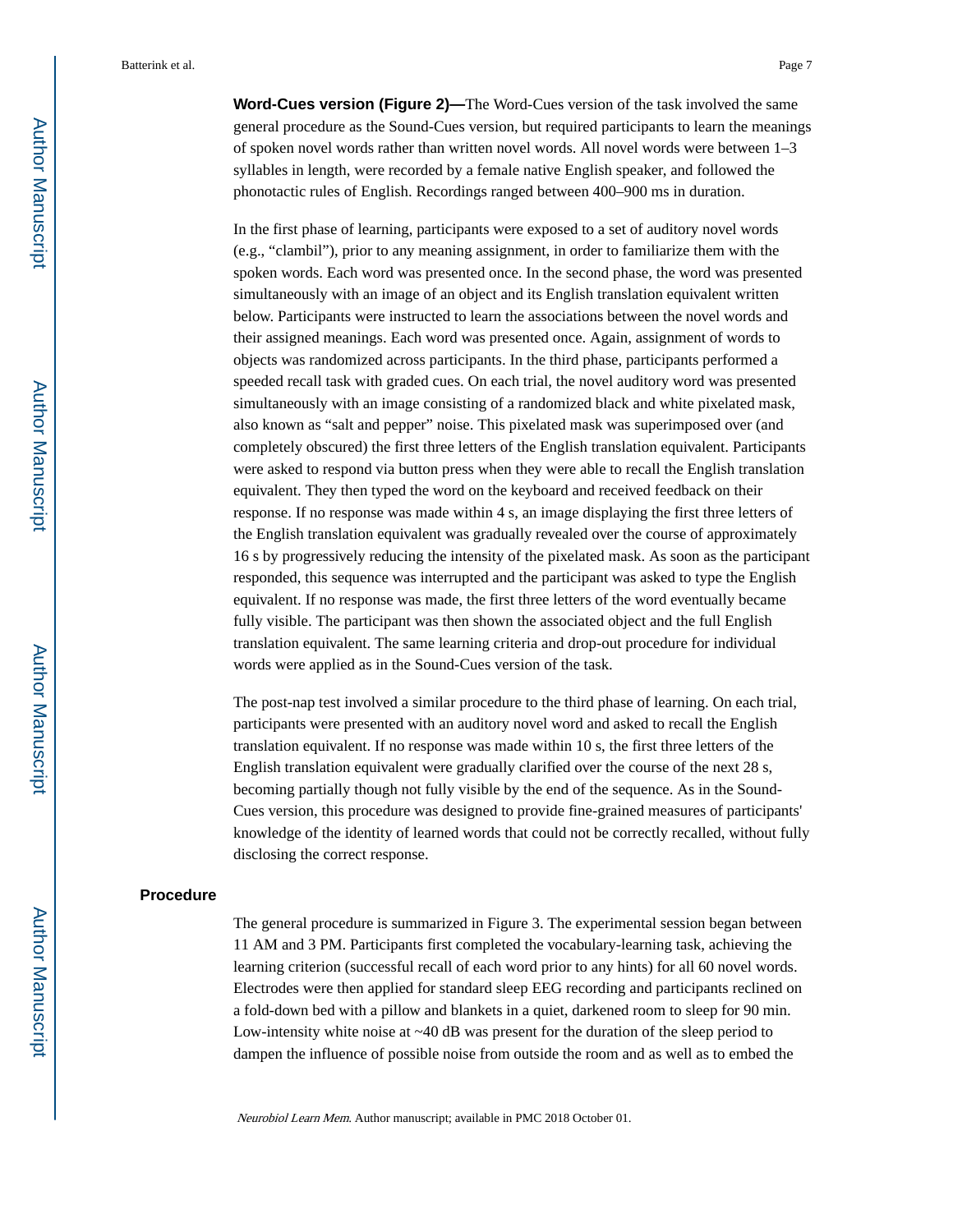**Word-Cues version (Figure 2)—**The Word-Cues version of the task involved the same general procedure as the Sound-Cues version, but required participants to learn the meanings of spoken novel words rather than written novel words. All novel words were between 1–3 syllables in length, were recorded by a female native English speaker, and followed the phonotactic rules of English. Recordings ranged between 400–900 ms in duration.

In the first phase of learning, participants were exposed to a set of auditory novel words (e.g., "clambil"), prior to any meaning assignment, in order to familiarize them with the spoken words. Each word was presented once. In the second phase, the word was presented simultaneously with an image of an object and its English translation equivalent written below. Participants were instructed to learn the associations between the novel words and their assigned meanings. Each word was presented once. Again, assignment of words to objects was randomized across participants. In the third phase, participants performed a speeded recall task with graded cues. On each trial, the novel auditory word was presented simultaneously with an image consisting of a randomized black and white pixelated mask, also known as "salt and pepper" noise. This pixelated mask was superimposed over (and completely obscured) the first three letters of the English translation equivalent. Participants were asked to respond via button press when they were able to recall the English translation equivalent. They then typed the word on the keyboard and received feedback on their response. If no response was made within 4 s, an image displaying the first three letters of the English translation equivalent was gradually revealed over the course of approximately 16 s by progressively reducing the intensity of the pixelated mask. As soon as the participant responded, this sequence was interrupted and the participant was asked to type the English equivalent. If no response was made, the first three letters of the word eventually became fully visible. The participant was then shown the associated object and the full English translation equivalent. The same learning criteria and drop-out procedure for individual words were applied as in the Sound-Cues version of the task.

The post-nap test involved a similar procedure to the third phase of learning. On each trial, participants were presented with an auditory novel word and asked to recall the English translation equivalent. If no response was made within 10 s, the first three letters of the English translation equivalent were gradually clarified over the course of the next 28 s, becoming partially though not fully visible by the end of the sequence. As in the Sound-Cues version, this procedure was designed to provide fine-grained measures of participants' knowledge of the identity of learned words that could not be correctly recalled, without fully disclosing the correct response.

#### **Procedure**

The general procedure is summarized in Figure 3. The experimental session began between 11 AM and 3 PM. Participants first completed the vocabulary-learning task, achieving the learning criterion (successful recall of each word prior to any hints) for all 60 novel words. Electrodes were then applied for standard sleep EEG recording and participants reclined on a fold-down bed with a pillow and blankets in a quiet, darkened room to sleep for 90 min. Low-intensity white noise at ~40 dB was present for the duration of the sleep period to dampen the influence of possible noise from outside the room and as well as to embed the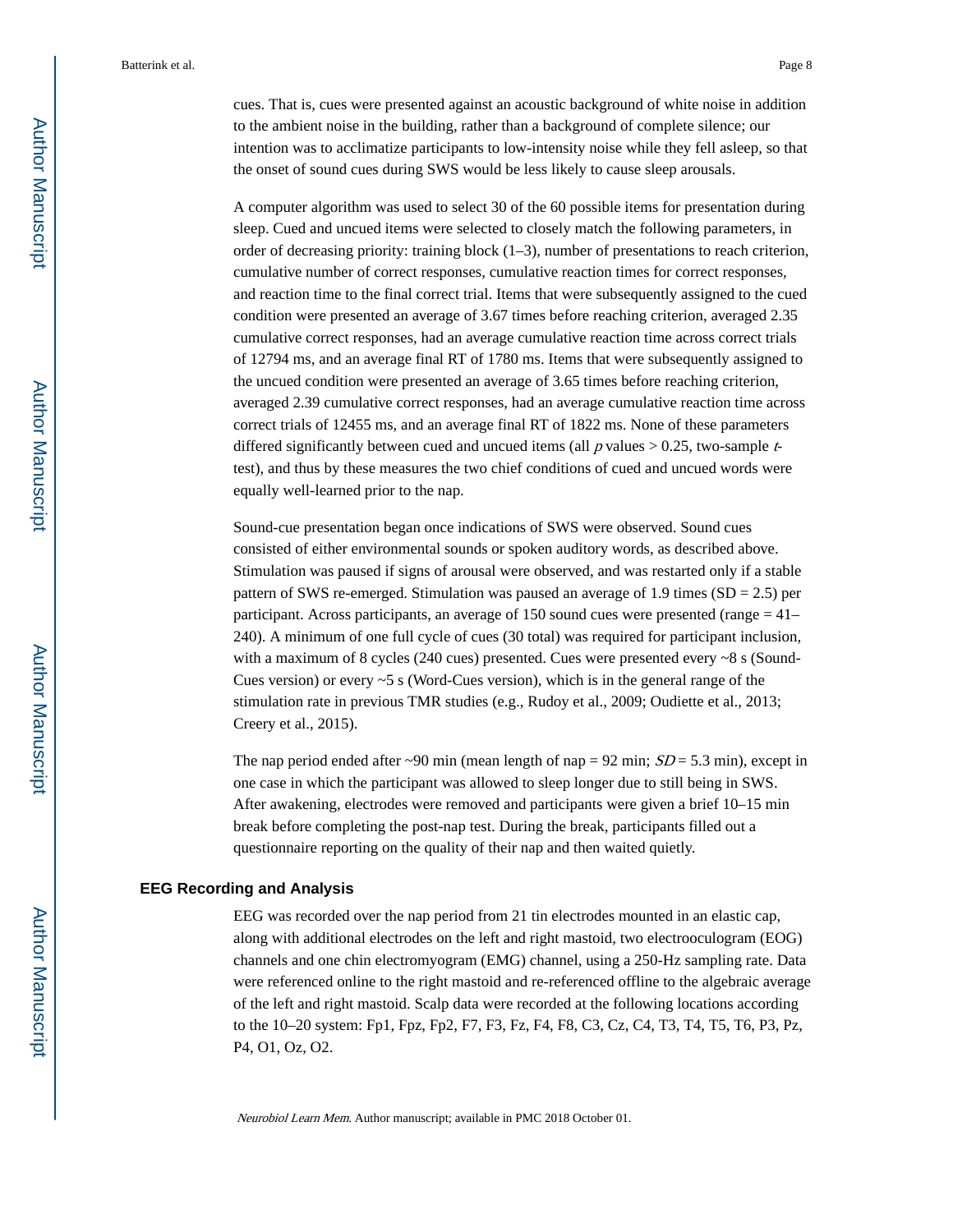cues. That is, cues were presented against an acoustic background of white noise in addition to the ambient noise in the building, rather than a background of complete silence; our intention was to acclimatize participants to low-intensity noise while they fell asleep, so that the onset of sound cues during SWS would be less likely to cause sleep arousals.

A computer algorithm was used to select 30 of the 60 possible items for presentation during sleep. Cued and uncued items were selected to closely match the following parameters, in order of decreasing priority: training block  $(1-3)$ , number of presentations to reach criterion, cumulative number of correct responses, cumulative reaction times for correct responses, and reaction time to the final correct trial. Items that were subsequently assigned to the cued condition were presented an average of 3.67 times before reaching criterion, averaged 2.35 cumulative correct responses, had an average cumulative reaction time across correct trials of 12794 ms, and an average final RT of 1780 ms. Items that were subsequently assigned to the uncued condition were presented an average of 3.65 times before reaching criterion, averaged 2.39 cumulative correct responses, had an average cumulative reaction time across correct trials of 12455 ms, and an average final RT of 1822 ms. None of these parameters differed significantly between cued and uncued items (all  $p$  values  $> 0.25$ , two-sample  $t$ test), and thus by these measures the two chief conditions of cued and uncued words were equally well-learned prior to the nap.

Sound-cue presentation began once indications of SWS were observed. Sound cues consisted of either environmental sounds or spoken auditory words, as described above. Stimulation was paused if signs of arousal were observed, and was restarted only if a stable pattern of SWS re-emerged. Stimulation was paused an average of 1.9 times (SD = 2.5) per participant. Across participants, an average of 150 sound cues were presented (range = 41– 240). A minimum of one full cycle of cues (30 total) was required for participant inclusion, with a maximum of 8 cycles (240 cues) presented. Cues were presented every ~8 s (Sound-Cues version) or every ~5 s (Word-Cues version), which is in the general range of the stimulation rate in previous TMR studies (e.g., Rudoy et al., 2009; Oudiette et al., 2013; Creery et al., 2015).

The nap period ended after ~90 min (mean length of nap = 92 min;  $SD = 5.3$  min), except in one case in which the participant was allowed to sleep longer due to still being in SWS. After awakening, electrodes were removed and participants were given a brief 10–15 min break before completing the post-nap test. During the break, participants filled out a questionnaire reporting on the quality of their nap and then waited quietly.

#### **EEG Recording and Analysis**

EEG was recorded over the nap period from 21 tin electrodes mounted in an elastic cap, along with additional electrodes on the left and right mastoid, two electrooculogram (EOG) channels and one chin electromyogram (EMG) channel, using a 250-Hz sampling rate. Data were referenced online to the right mastoid and re-referenced offline to the algebraic average of the left and right mastoid. Scalp data were recorded at the following locations according to the 10–20 system: Fp1, Fpz, Fp2, F7, F3, Fz, F4, F8, C3, Cz, C4, T3, T4, T5, T6, P3, Pz, P4, O1, Oz, O2.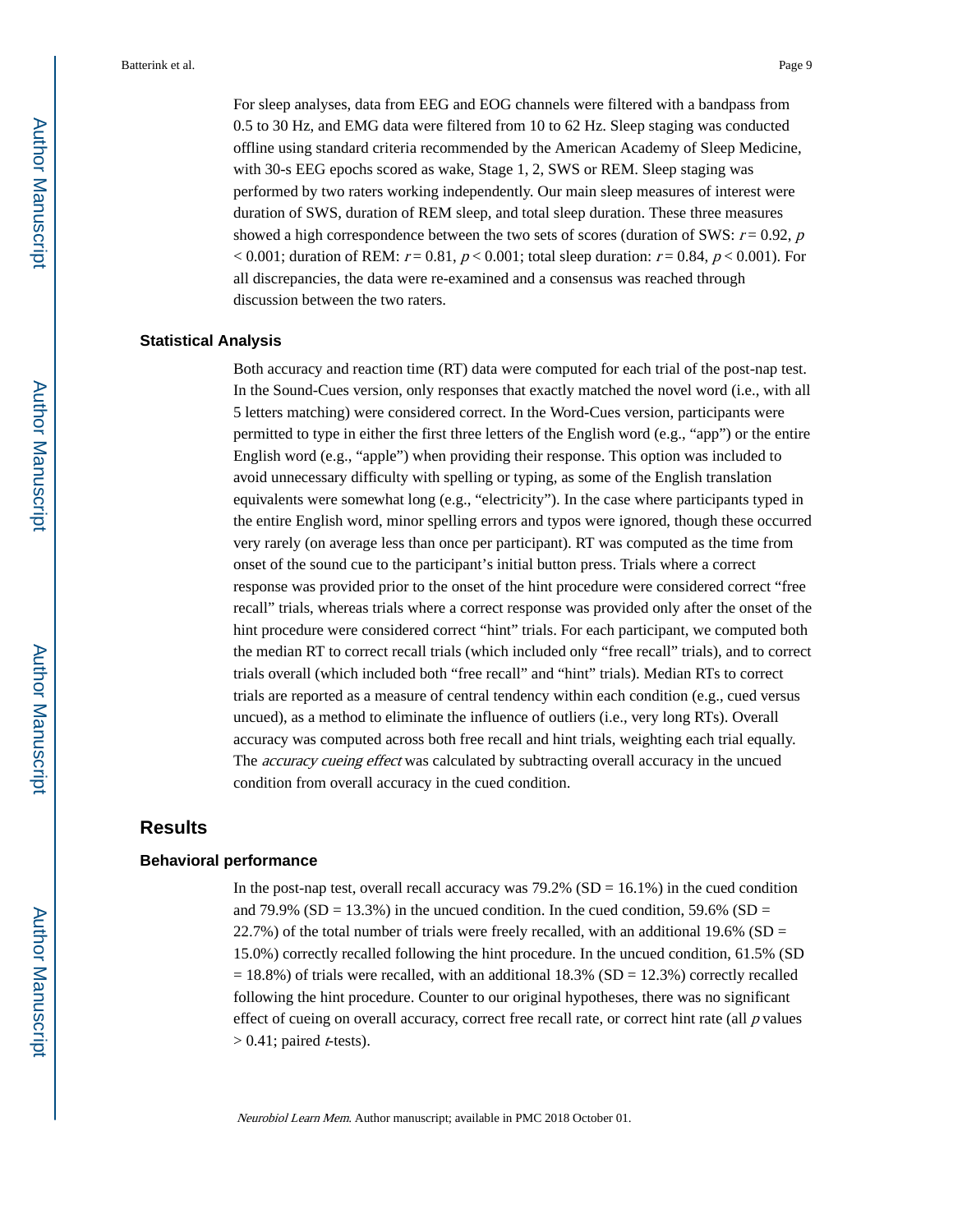For sleep analyses, data from EEG and EOG channels were filtered with a bandpass from 0.5 to 30 Hz, and EMG data were filtered from 10 to 62 Hz. Sleep staging was conducted offline using standard criteria recommended by the American Academy of Sleep Medicine, with 30-s EEG epochs scored as wake, Stage 1, 2, SWS or REM. Sleep staging was performed by two raters working independently. Our main sleep measures of interest were duration of SWS, duration of REM sleep, and total sleep duration. These three measures showed a high correspondence between the two sets of scores (duration of SWS:  $r = 0.92$ , p < 0.001; duration of REM:  $r = 0.81$ ,  $p < 0.001$ ; total sleep duration:  $r = 0.84$ ,  $p < 0.001$ ). For all discrepancies, the data were re-examined and a consensus was reached through discussion between the two raters.

#### **Statistical Analysis**

Both accuracy and reaction time (RT) data were computed for each trial of the post-nap test. In the Sound-Cues version, only responses that exactly matched the novel word (i.e., with all 5 letters matching) were considered correct. In the Word-Cues version, participants were permitted to type in either the first three letters of the English word (e.g., "app") or the entire English word (e.g., "apple") when providing their response. This option was included to avoid unnecessary difficulty with spelling or typing, as some of the English translation equivalents were somewhat long (e.g., "electricity"). In the case where participants typed in the entire English word, minor spelling errors and typos were ignored, though these occurred very rarely (on average less than once per participant). RT was computed as the time from onset of the sound cue to the participant's initial button press. Trials where a correct response was provided prior to the onset of the hint procedure were considered correct "free recall" trials, whereas trials where a correct response was provided only after the onset of the hint procedure were considered correct "hint" trials. For each participant, we computed both the median RT to correct recall trials (which included only "free recall" trials), and to correct trials overall (which included both "free recall" and "hint" trials). Median RTs to correct trials are reported as a measure of central tendency within each condition (e.g., cued versus uncued), as a method to eliminate the influence of outliers (i.e., very long RTs). Overall accuracy was computed across both free recall and hint trials, weighting each trial equally. The *accuracy cueing effect* was calculated by subtracting overall accuracy in the uncued condition from overall accuracy in the cued condition.

### **Results**

#### **Behavioral performance**

In the post-nap test, overall recall accuracy was  $79.2\%$  (SD = 16.1%) in the cued condition and 79.9% (SD = 13.3%) in the uncued condition. In the cued condition, 59.6% (SD = 22.7%) of the total number of trials were freely recalled, with an additional 19.6% ( $SD =$ 15.0%) correctly recalled following the hint procedure. In the uncued condition, 61.5% (SD  $= 18.8\%$ ) of trials were recalled, with an additional 18.3% (SD = 12.3%) correctly recalled following the hint procedure. Counter to our original hypotheses, there was no significant effect of cueing on overall accuracy, correct free recall rate, or correct hint rate (all  $p$  values  $> 0.41$ ; paired *t*-tests).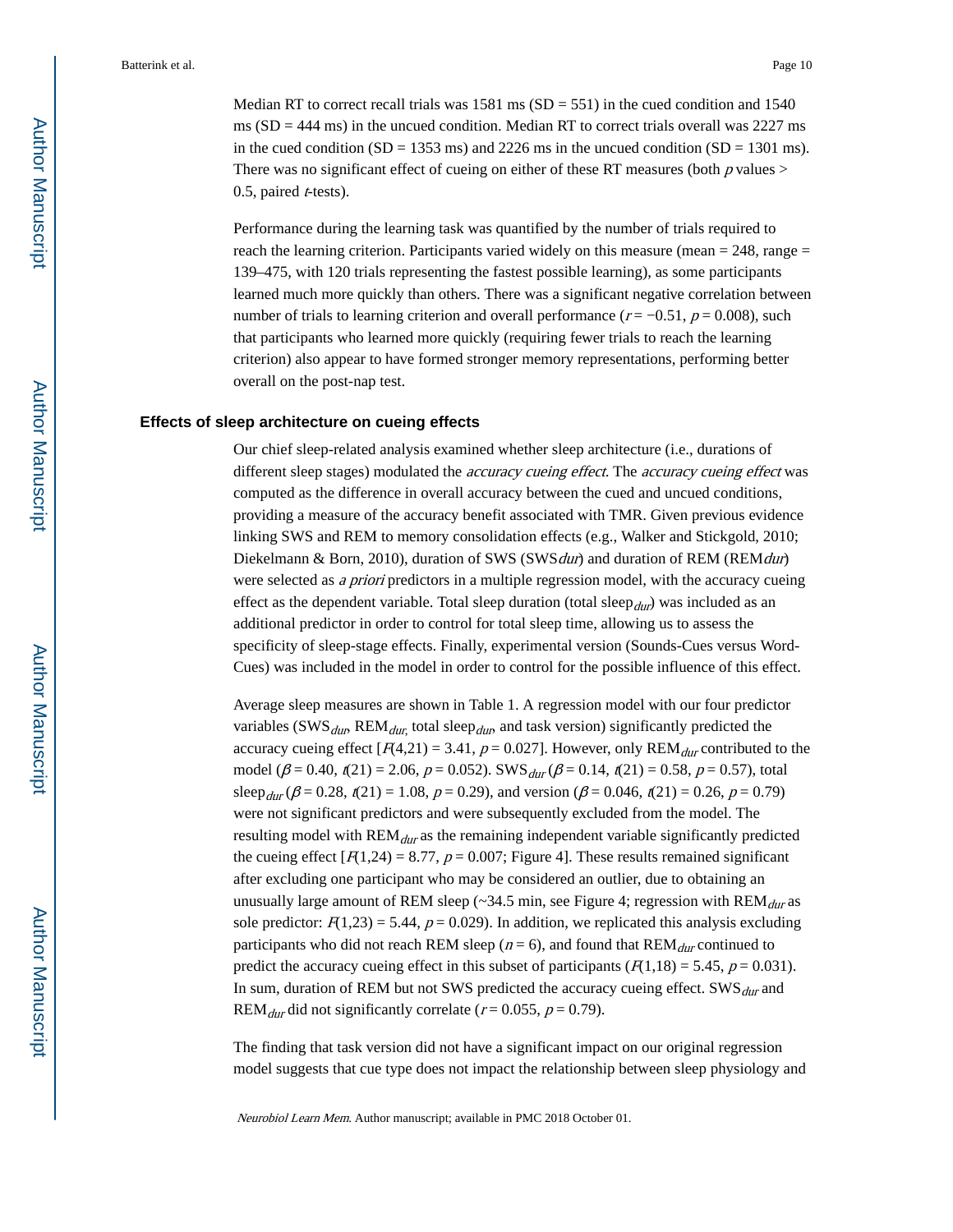Median RT to correct recall trials was  $1581 \text{ ms}$  (SD = 551) in the cued condition and 1540 ms  $(SD = 444 \text{ ms})$  in the uncued condition. Median RT to correct trials overall was 2227 ms in the cued condition  $(SD = 1353 \text{ ms})$  and 2226 ms in the uncued condition  $(SD = 1301 \text{ ms})$ . There was no significant effect of cueing on either of these RT measures (both  $p$  values  $>$  $0.5$ , paired *t*-tests).

Performance during the learning task was quantified by the number of trials required to reach the learning criterion. Participants varied widely on this measure (mean  $= 248$ , range  $=$ 139–475, with 120 trials representing the fastest possible learning), as some participants learned much more quickly than others. There was a significant negative correlation between number of trials to learning criterion and overall performance ( $r = -0.51$ ,  $p = 0.008$ ), such that participants who learned more quickly (requiring fewer trials to reach the learning criterion) also appear to have formed stronger memory representations, performing better overall on the post-nap test.

#### **Effects of sleep architecture on cueing effects**

Our chief sleep-related analysis examined whether sleep architecture (i.e., durations of different sleep stages) modulated the *accuracy cueing effect*. The *accuracy cueing effect* was computed as the difference in overall accuracy between the cued and uncued conditions, providing a measure of the accuracy benefit associated with TMR. Given previous evidence linking SWS and REM to memory consolidation effects (e.g., Walker and Stickgold, 2010; Diekelmann & Born, 2010), duration of SWS (SWS *dur*) and duration of REM (REM *dur*) were selected as *a priori* predictors in a multiple regression model, with the accuracy cueing effect as the dependent variable. Total sleep duration (total sleep $_{dur}$ ) was included as an additional predictor in order to control for total sleep time, allowing us to assess the specificity of sleep-stage effects. Finally, experimental version (Sounds-Cues versus Word-Cues) was included in the model in order to control for the possible influence of this effect.

Average sleep measures are shown in Table 1. A regression model with our four predictor variables (SWS<sub>dur</sub>, REM<sub>dur,</sub> total sleep<sub>dur</sub>, and task version) significantly predicted the accuracy cueing effect  $[A4,21] = 3.41$ ,  $p = 0.027$ . However, only REM<sub>dur</sub> contributed to the model ( $\beta$  = 0.40,  $t(21)$  = 2.06,  $p$  = 0.052). SWS  $_{dur}(\beta$  = 0.14,  $t(21)$  = 0.58,  $p$  = 0.57), total sleep<sub>dur</sub> ( $\beta$  = 0.28, t(21) = 1.08, p = 0.29), and version ( $\beta$  = 0.046, t(21) = 0.26, p = 0.79) were not significant predictors and were subsequently excluded from the model. The resulting model with  $\text{REM}_{dur}$  as the remaining independent variable significantly predicted the cueing effect  $[F(1,24) = 8.77, p = 0.007;$  Figure 4]. These results remained significant after excluding one participant who may be considered an outlier, due to obtaining an unusually large amount of REM sleep ( $\sim$ 34.5 min, see Figure 4; regression with REM $_{dur}$  as sole predictor:  $F(1,23) = 5.44$ ,  $p = 0.029$ ). In addition, we replicated this analysis excluding participants who did not reach REM sleep ( $n = 6$ ), and found that  $REM_{dur}$  continued to predict the accuracy cueing effect in this subset of participants ( $F(1,18) = 5.45$ ,  $p = 0.031$ ). In sum, duration of REM but not SWS predicted the accuracy cueing effect.  $\text{SWS}_{dur}$  and REM<sub>dur</sub> did not significantly correlate ( $r = 0.055$ ,  $p = 0.79$ ).

The finding that task version did not have a significant impact on our original regression model suggests that cue type does not impact the relationship between sleep physiology and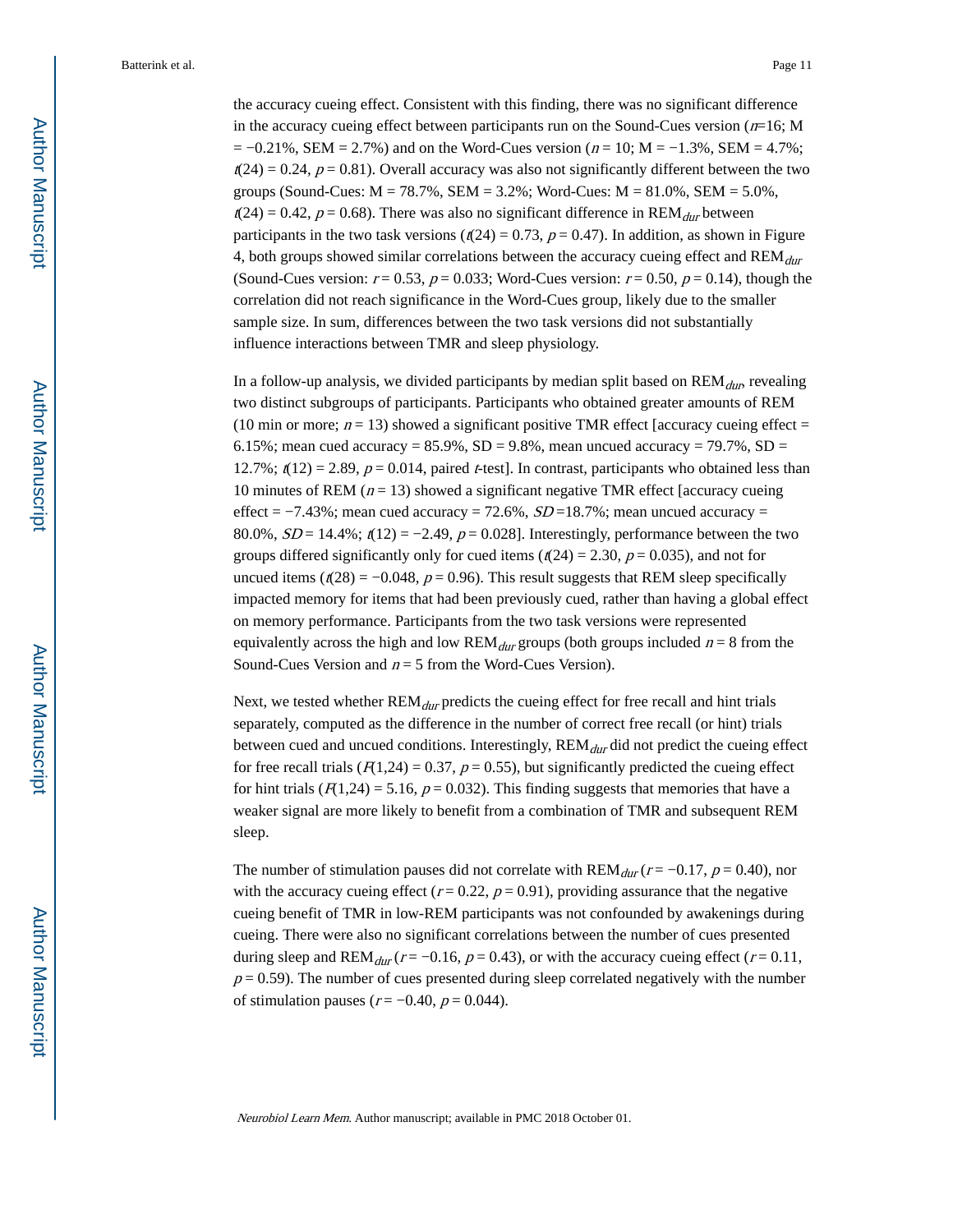the accuracy cueing effect. Consistent with this finding, there was no significant difference in the accuracy cueing effect between participants run on the Sound-Cues version  $(n=16; M)$  $= -0.21\%$ , SEM = 2.7%) and on the Word-Cues version ( $n = 10$ ; M =  $-1.3\%$ , SEM = 4.7%;  $t(24) = 0.24$ ,  $p = 0.81$ ). Overall accuracy was also not significantly different between the two groups (Sound-Cues:  $M = 78.7\%$ , SEM = 3.2%; Word-Cues:  $M = 81.0\%$ , SEM = 5.0%,  $t(24) = 0.42$ ,  $p = 0.68$ ). There was also no significant difference in REM<sub>dur</sub> between participants in the two task versions ( $t(24) = 0.73$ ,  $p = 0.47$ ). In addition, as shown in Figure 4, both groups showed similar correlations between the accuracy cueing effect and  $REM_{dur}$ (Sound-Cues version:  $r = 0.53$ ,  $p = 0.033$ ; Word-Cues version:  $r = 0.50$ ,  $p = 0.14$ ), though the correlation did not reach significance in the Word-Cues group, likely due to the smaller sample size. In sum, differences between the two task versions did not substantially influence interactions between TMR and sleep physiology.

In a follow-up analysis, we divided participants by median split based on  $\text{REM}_{dur}$  revealing two distinct subgroups of participants. Participants who obtained greater amounts of REM (10 min or more;  $n = 13$ ) showed a significant positive TMR effect [accuracy cueing effect = 6.15%; mean cued accuracy = 85.9%, SD = 9.8%, mean uncued accuracy = 79.7%, SD = 12.7%;  $t(12) = 2.89$ ,  $p = 0.014$ , paired *t*-test]. In contrast, participants who obtained less than 10 minutes of REM ( $n = 13$ ) showed a significant negative TMR effect [accuracy cueing effect =  $-7.43\%$ ; mean cued accuracy = 72.6%,  $SD = 18.7\%$ ; mean uncued accuracy = 80.0%,  $SD = 14.4\%$ ;  $t(12) = -2.49$ ,  $p = 0.028$ ]. Interestingly, performance between the two groups differed significantly only for cued items ( $t(24) = 2.30$ ,  $p = 0.035$ ), and not for uncued items ( $t(28) = -0.048$ ,  $p = 0.96$ ). This result suggests that REM sleep specifically impacted memory for items that had been previously cued, rather than having a global effect on memory performance. Participants from the two task versions were represented equivalently across the high and low  $REM_{dur}$  groups (both groups included  $n = 8$  from the Sound-Cues Version and  $n = 5$  from the Word-Cues Version).

Next, we tested whether  $\text{REM}_{dur}$  predicts the cueing effect for free recall and hint trials separately, computed as the difference in the number of correct free recall (or hint) trials between cued and uncued conditions. Interestingly,  $REM_{dur}$  did not predict the cueing effect for free recall trials ( $F(1,24) = 0.37$ ,  $p = 0.55$ ), but significantly predicted the cueing effect for hint trials ( $F(1,24) = 5.16$ ,  $p = 0.032$ ). This finding suggests that memories that have a weaker signal are more likely to benefit from a combination of TMR and subsequent REM sleep.

The number of stimulation pauses did not correlate with  $REM_{dur}$  ( $r = -0.17$ ,  $p = 0.40$ ), nor with the accuracy cueing effect ( $r = 0.22$ ,  $p = 0.91$ ), providing assurance that the negative cueing benefit of TMR in low-REM participants was not confounded by awakenings during cueing. There were also no significant correlations between the number of cues presented during sleep and REM<sub>dur</sub> ( $r = -0.16$ ,  $p = 0.43$ ), or with the accuracy cueing effect ( $r = 0.11$ ,  $p = 0.59$ ). The number of cues presented during sleep correlated negatively with the number of stimulation pauses ( $r = -0.40$ ,  $p = 0.044$ ).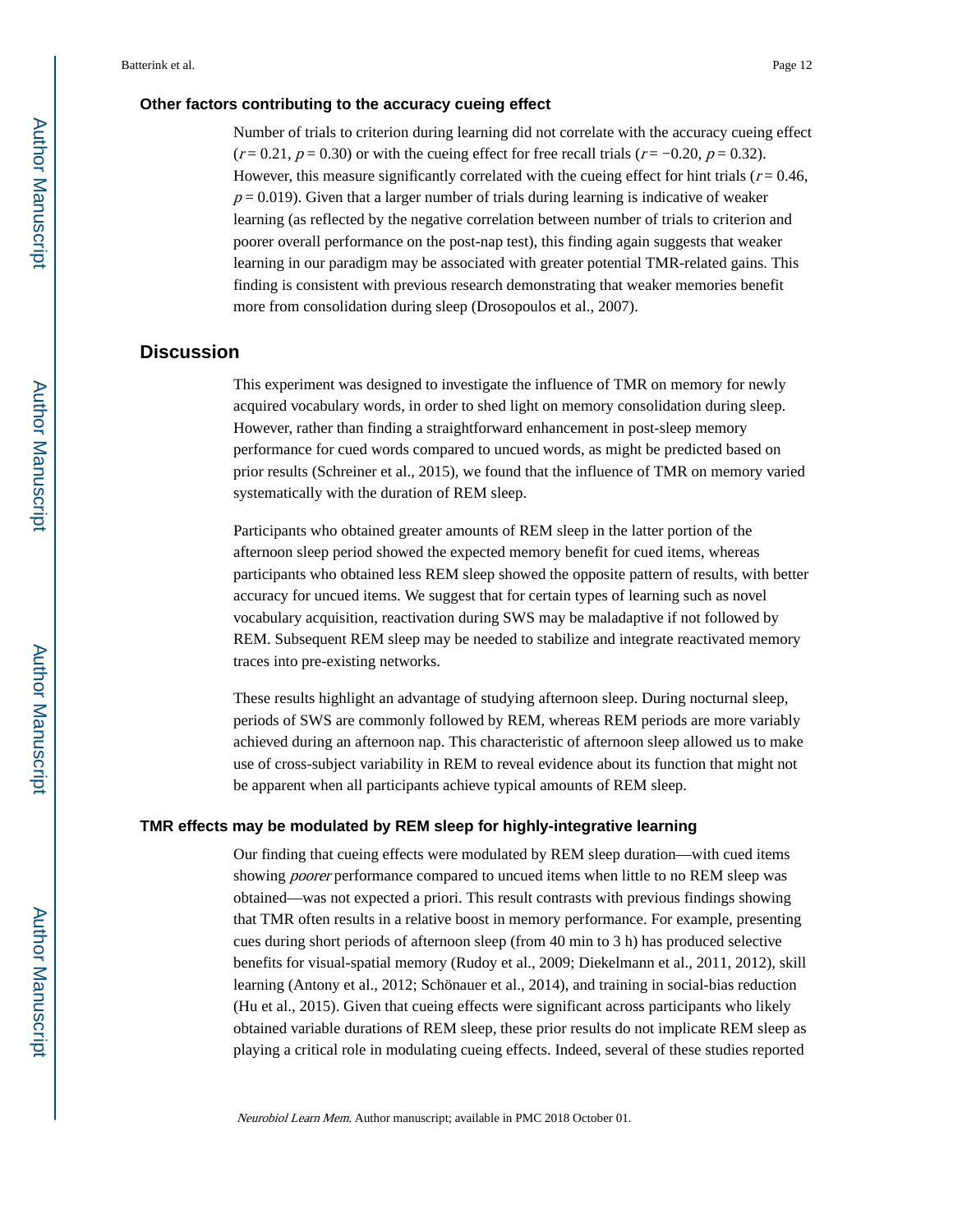#### **Other factors contributing to the accuracy cueing effect**

Number of trials to criterion during learning did not correlate with the accuracy cueing effect  $(r = 0.21, p = 0.30)$  or with the cueing effect for free recall trials  $(r = -0.20, p = 0.32)$ . However, this measure significantly correlated with the cueing effect for hint trials ( $r = 0.46$ ,  $p = 0.019$ ). Given that a larger number of trials during learning is indicative of weaker learning (as reflected by the negative correlation between number of trials to criterion and poorer overall performance on the post-nap test), this finding again suggests that weaker learning in our paradigm may be associated with greater potential TMR-related gains. This finding is consistent with previous research demonstrating that weaker memories benefit more from consolidation during sleep (Drosopoulos et al., 2007).

### **Discussion**

This experiment was designed to investigate the influence of TMR on memory for newly acquired vocabulary words, in order to shed light on memory consolidation during sleep. However, rather than finding a straightforward enhancement in post-sleep memory performance for cued words compared to uncued words, as might be predicted based on prior results (Schreiner et al., 2015), we found that the influence of TMR on memory varied systematically with the duration of REM sleep.

Participants who obtained greater amounts of REM sleep in the latter portion of the afternoon sleep period showed the expected memory benefit for cued items, whereas participants who obtained less REM sleep showed the opposite pattern of results, with better accuracy for uncued items. We suggest that for certain types of learning such as novel vocabulary acquisition, reactivation during SWS may be maladaptive if not followed by REM. Subsequent REM sleep may be needed to stabilize and integrate reactivated memory traces into pre-existing networks.

These results highlight an advantage of studying afternoon sleep. During nocturnal sleep, periods of SWS are commonly followed by REM, whereas REM periods are more variably achieved during an afternoon nap. This characteristic of afternoon sleep allowed us to make use of cross-subject variability in REM to reveal evidence about its function that might not be apparent when all participants achieve typical amounts of REM sleep.

#### **TMR effects may be modulated by REM sleep for highly-integrative learning**

Our finding that cueing effects were modulated by REM sleep duration—with cued items showing poorer performance compared to uncued items when little to no REM sleep was obtained—was not expected a priori. This result contrasts with previous findings showing that TMR often results in a relative boost in memory performance. For example, presenting cues during short periods of afternoon sleep (from 40 min to 3 h) has produced selective benefits for visual-spatial memory (Rudoy et al., 2009; Diekelmann et al., 2011, 2012), skill learning (Antony et al., 2012; Schönauer et al., 2014), and training in social-bias reduction (Hu et al., 2015). Given that cueing effects were significant across participants who likely obtained variable durations of REM sleep, these prior results do not implicate REM sleep as playing a critical role in modulating cueing effects. Indeed, several of these studies reported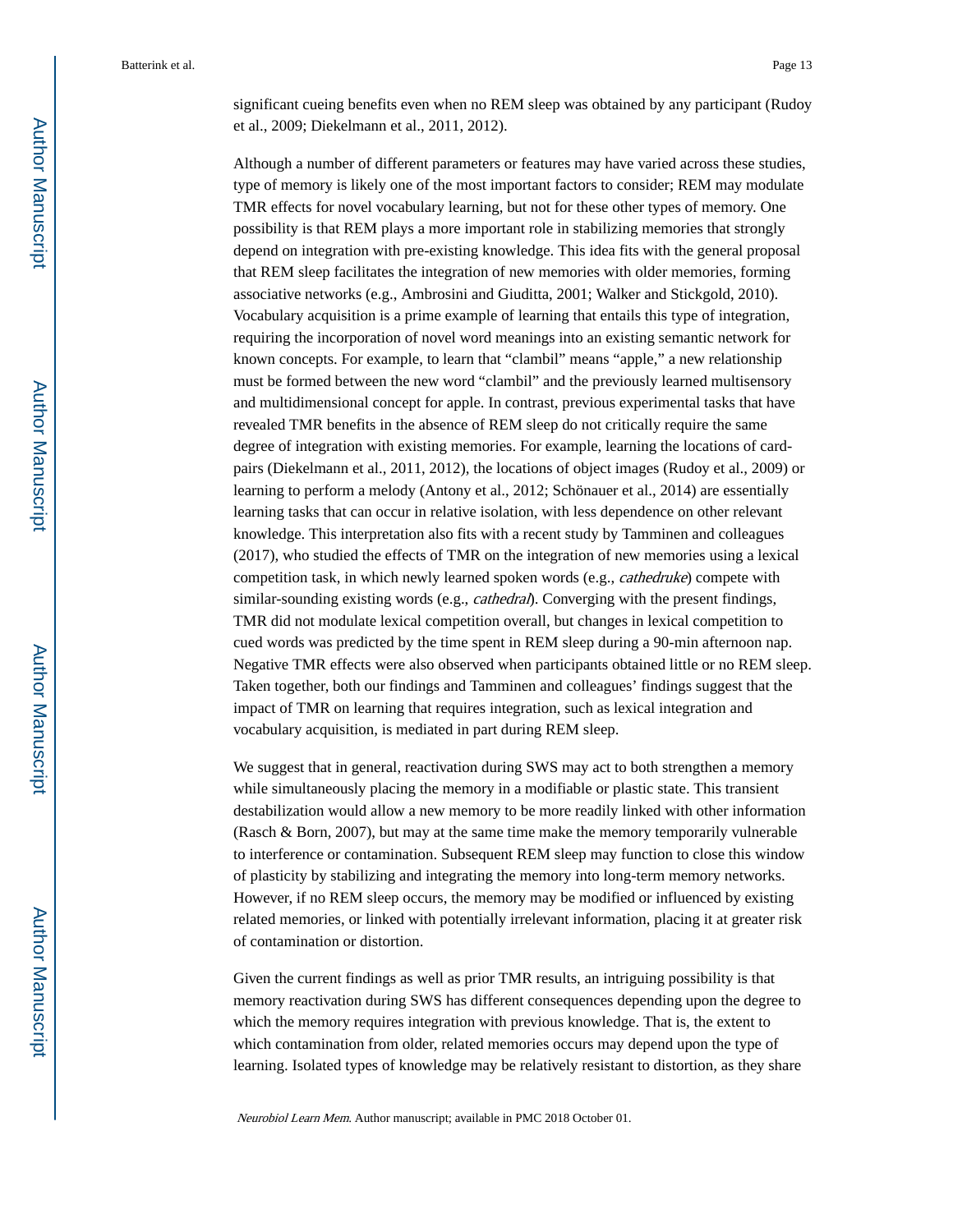significant cueing benefits even when no REM sleep was obtained by any participant (Rudoy et al., 2009; Diekelmann et al., 2011, 2012).

Although a number of different parameters or features may have varied across these studies, type of memory is likely one of the most important factors to consider; REM may modulate TMR effects for novel vocabulary learning, but not for these other types of memory. One possibility is that REM plays a more important role in stabilizing memories that strongly depend on integration with pre-existing knowledge. This idea fits with the general proposal that REM sleep facilitates the integration of new memories with older memories, forming associative networks (e.g., Ambrosini and Giuditta, 2001; Walker and Stickgold, 2010). Vocabulary acquisition is a prime example of learning that entails this type of integration, requiring the incorporation of novel word meanings into an existing semantic network for known concepts. For example, to learn that "clambil" means "apple," a new relationship must be formed between the new word "clambil" and the previously learned multisensory and multidimensional concept for apple. In contrast, previous experimental tasks that have revealed TMR benefits in the absence of REM sleep do not critically require the same degree of integration with existing memories. For example, learning the locations of cardpairs (Diekelmann et al., 2011, 2012), the locations of object images (Rudoy et al., 2009) or learning to perform a melody (Antony et al., 2012; Schönauer et al., 2014) are essentially learning tasks that can occur in relative isolation, with less dependence on other relevant knowledge. This interpretation also fits with a recent study by Tamminen and colleagues (2017), who studied the effects of TMR on the integration of new memories using a lexical competition task, in which newly learned spoken words (e.g., cathedruke) compete with similar-sounding existing words (e.g., *cathedral*). Converging with the present findings, TMR did not modulate lexical competition overall, but changes in lexical competition to cued words was predicted by the time spent in REM sleep during a 90-min afternoon nap. Negative TMR effects were also observed when participants obtained little or no REM sleep. Taken together, both our findings and Tamminen and colleagues' findings suggest that the impact of TMR on learning that requires integration, such as lexical integration and vocabulary acquisition, is mediated in part during REM sleep.

We suggest that in general, reactivation during SWS may act to both strengthen a memory while simultaneously placing the memory in a modifiable or plastic state. This transient destabilization would allow a new memory to be more readily linked with other information (Rasch & Born, 2007), but may at the same time make the memory temporarily vulnerable to interference or contamination. Subsequent REM sleep may function to close this window of plasticity by stabilizing and integrating the memory into long-term memory networks. However, if no REM sleep occurs, the memory may be modified or influenced by existing related memories, or linked with potentially irrelevant information, placing it at greater risk of contamination or distortion.

Given the current findings as well as prior TMR results, an intriguing possibility is that memory reactivation during SWS has different consequences depending upon the degree to which the memory requires integration with previous knowledge. That is, the extent to which contamination from older, related memories occurs may depend upon the type of learning. Isolated types of knowledge may be relatively resistant to distortion, as they share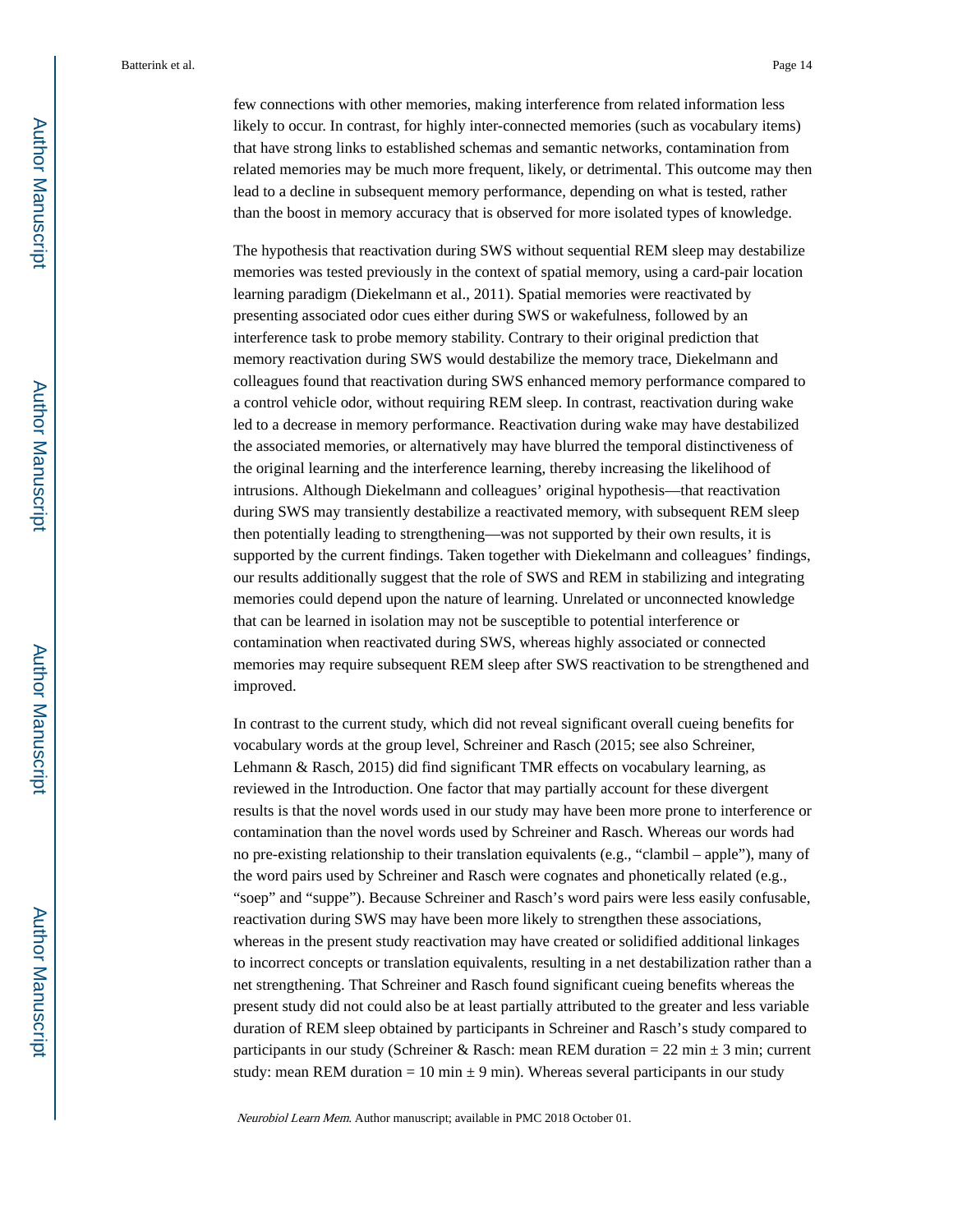few connections with other memories, making interference from related information less likely to occur. In contrast, for highly inter-connected memories (such as vocabulary items) that have strong links to established schemas and semantic networks, contamination from related memories may be much more frequent, likely, or detrimental. This outcome may then lead to a decline in subsequent memory performance, depending on what is tested, rather than the boost in memory accuracy that is observed for more isolated types of knowledge.

The hypothesis that reactivation during SWS without sequential REM sleep may destabilize memories was tested previously in the context of spatial memory, using a card-pair location learning paradigm (Diekelmann et al., 2011). Spatial memories were reactivated by presenting associated odor cues either during SWS or wakefulness, followed by an interference task to probe memory stability. Contrary to their original prediction that memory reactivation during SWS would destabilize the memory trace, Diekelmann and colleagues found that reactivation during SWS enhanced memory performance compared to a control vehicle odor, without requiring REM sleep. In contrast, reactivation during wake led to a decrease in memory performance. Reactivation during wake may have destabilized the associated memories, or alternatively may have blurred the temporal distinctiveness of the original learning and the interference learning, thereby increasing the likelihood of intrusions. Although Diekelmann and colleagues' original hypothesis—that reactivation during SWS may transiently destabilize a reactivated memory, with subsequent REM sleep then potentially leading to strengthening—was not supported by their own results, it is supported by the current findings. Taken together with Diekelmann and colleagues' findings, our results additionally suggest that the role of SWS and REM in stabilizing and integrating memories could depend upon the nature of learning. Unrelated or unconnected knowledge that can be learned in isolation may not be susceptible to potential interference or contamination when reactivated during SWS, whereas highly associated or connected memories may require subsequent REM sleep after SWS reactivation to be strengthened and improved.

In contrast to the current study, which did not reveal significant overall cueing benefits for vocabulary words at the group level, Schreiner and Rasch (2015; see also Schreiner, Lehmann & Rasch, 2015) did find significant TMR effects on vocabulary learning, as reviewed in the Introduction. One factor that may partially account for these divergent results is that the novel words used in our study may have been more prone to interference or contamination than the novel words used by Schreiner and Rasch. Whereas our words had no pre-existing relationship to their translation equivalents (e.g., "clambil – apple"), many of the word pairs used by Schreiner and Rasch were cognates and phonetically related (e.g., "soep" and "suppe"). Because Schreiner and Rasch's word pairs were less easily confusable, reactivation during SWS may have been more likely to strengthen these associations, whereas in the present study reactivation may have created or solidified additional linkages to incorrect concepts or translation equivalents, resulting in a net destabilization rather than a net strengthening. That Schreiner and Rasch found significant cueing benefits whereas the present study did not could also be at least partially attributed to the greater and less variable duration of REM sleep obtained by participants in Schreiner and Rasch's study compared to participants in our study (Schreiner & Rasch: mean REM duration = 22 min  $\pm$  3 min; current study: mean REM duration = 10 min  $\pm$  9 min). Whereas several participants in our study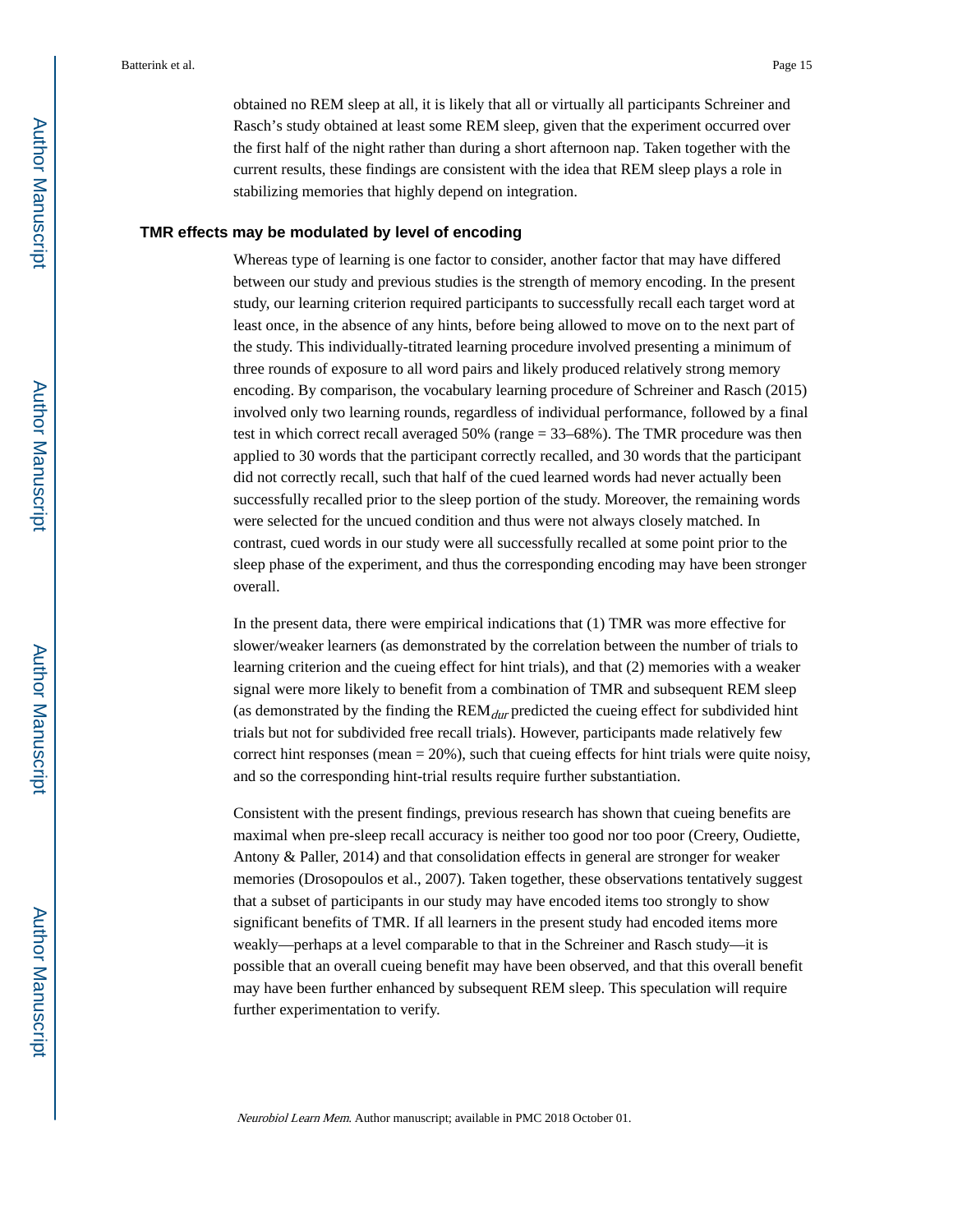obtained no REM sleep at all, it is likely that all or virtually all participants Schreiner and Rasch's study obtained at least some REM sleep, given that the experiment occurred over the first half of the night rather than during a short afternoon nap. Taken together with the current results, these findings are consistent with the idea that REM sleep plays a role in stabilizing memories that highly depend on integration.

#### **TMR effects may be modulated by level of encoding**

Whereas type of learning is one factor to consider, another factor that may have differed between our study and previous studies is the strength of memory encoding. In the present study, our learning criterion required participants to successfully recall each target word at least once, in the absence of any hints, before being allowed to move on to the next part of the study. This individually-titrated learning procedure involved presenting a minimum of three rounds of exposure to all word pairs and likely produced relatively strong memory encoding. By comparison, the vocabulary learning procedure of Schreiner and Rasch (2015) involved only two learning rounds, regardless of individual performance, followed by a final test in which correct recall averaged 50% (range = 33–68%). The TMR procedure was then applied to 30 words that the participant correctly recalled, and 30 words that the participant did not correctly recall, such that half of the cued learned words had never actually been successfully recalled prior to the sleep portion of the study. Moreover, the remaining words were selected for the uncued condition and thus were not always closely matched. In contrast, cued words in our study were all successfully recalled at some point prior to the sleep phase of the experiment, and thus the corresponding encoding may have been stronger overall.

In the present data, there were empirical indications that (1) TMR was more effective for slower/weaker learners (as demonstrated by the correlation between the number of trials to learning criterion and the cueing effect for hint trials), and that (2) memories with a weaker signal were more likely to benefit from a combination of TMR and subsequent REM sleep (as demonstrated by the finding the  $REM_{dur}$  predicted the cueing effect for subdivided hint trials but not for subdivided free recall trials). However, participants made relatively few correct hint responses (mean  $= 20\%$ ), such that cueing effects for hint trials were quite noisy, and so the corresponding hint-trial results require further substantiation.

Consistent with the present findings, previous research has shown that cueing benefits are maximal when pre-sleep recall accuracy is neither too good nor too poor (Creery, Oudiette, Antony & Paller, 2014) and that consolidation effects in general are stronger for weaker memories (Drosopoulos et al., 2007). Taken together, these observations tentatively suggest that a subset of participants in our study may have encoded items too strongly to show significant benefits of TMR. If all learners in the present study had encoded items more weakly—perhaps at a level comparable to that in the Schreiner and Rasch study—it is possible that an overall cueing benefit may have been observed, and that this overall benefit may have been further enhanced by subsequent REM sleep. This speculation will require further experimentation to verify.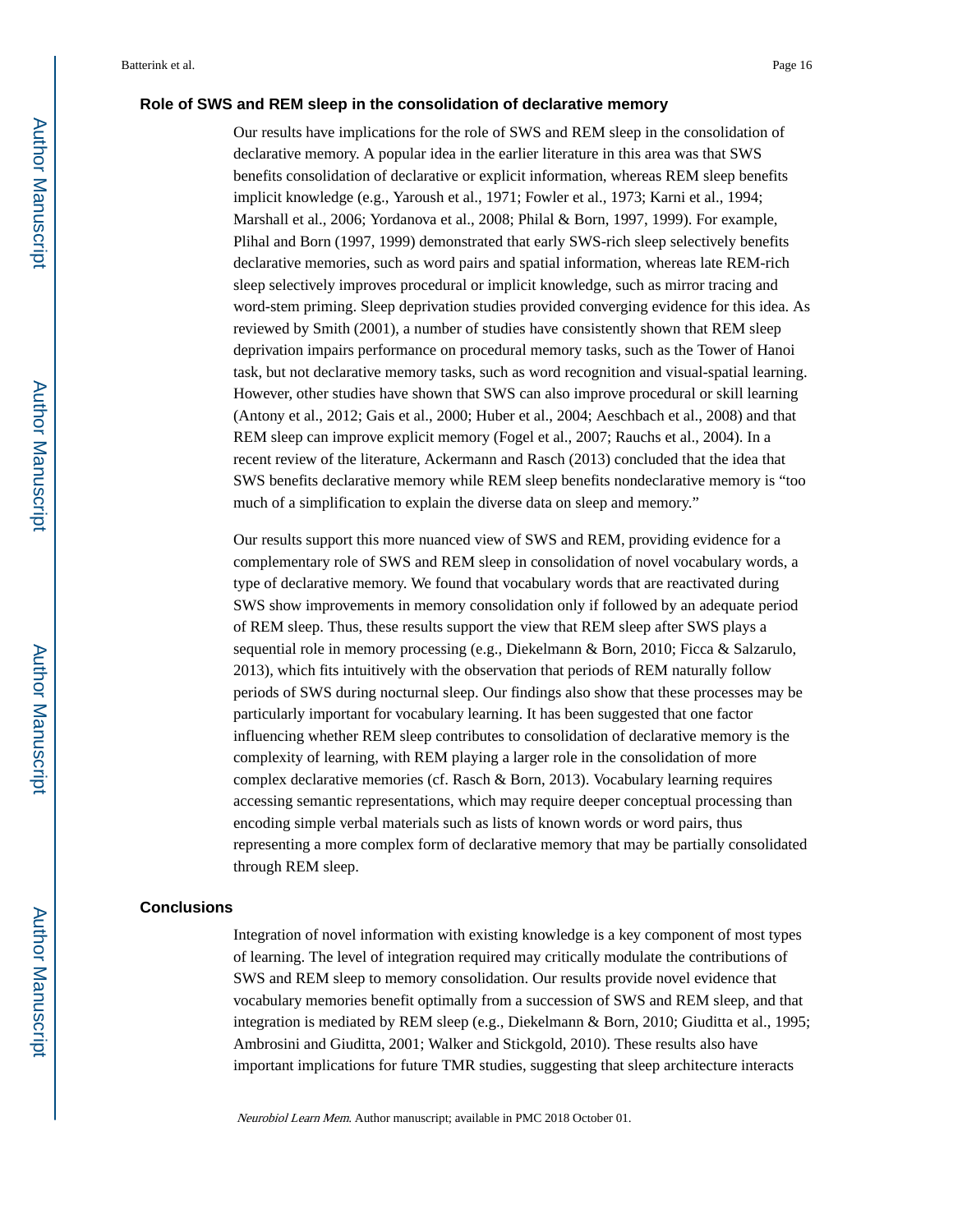#### **Role of SWS and REM sleep in the consolidation of declarative memory**

Our results have implications for the role of SWS and REM sleep in the consolidation of declarative memory. A popular idea in the earlier literature in this area was that SWS benefits consolidation of declarative or explicit information, whereas REM sleep benefits implicit knowledge (e.g., Yaroush et al., 1971; Fowler et al., 1973; Karni et al., 1994; Marshall et al., 2006; Yordanova et al., 2008; Philal & Born, 1997, 1999). For example, Plihal and Born (1997, 1999) demonstrated that early SWS-rich sleep selectively benefits declarative memories, such as word pairs and spatial information, whereas late REM-rich sleep selectively improves procedural or implicit knowledge, such as mirror tracing and word-stem priming. Sleep deprivation studies provided converging evidence for this idea. As reviewed by Smith (2001), a number of studies have consistently shown that REM sleep deprivation impairs performance on procedural memory tasks, such as the Tower of Hanoi task, but not declarative memory tasks, such as word recognition and visual-spatial learning. However, other studies have shown that SWS can also improve procedural or skill learning (Antony et al., 2012; Gais et al., 2000; Huber et al., 2004; Aeschbach et al., 2008) and that REM sleep can improve explicit memory (Fogel et al., 2007; Rauchs et al., 2004). In a recent review of the literature, Ackermann and Rasch (2013) concluded that the idea that SWS benefits declarative memory while REM sleep benefits nondeclarative memory is "too much of a simplification to explain the diverse data on sleep and memory."

Our results support this more nuanced view of SWS and REM, providing evidence for a complementary role of SWS and REM sleep in consolidation of novel vocabulary words, a type of declarative memory. We found that vocabulary words that are reactivated during SWS show improvements in memory consolidation only if followed by an adequate period of REM sleep. Thus, these results support the view that REM sleep after SWS plays a sequential role in memory processing (e.g., Diekelmann & Born, 2010; Ficca & Salzarulo, 2013), which fits intuitively with the observation that periods of REM naturally follow periods of SWS during nocturnal sleep. Our findings also show that these processes may be particularly important for vocabulary learning. It has been suggested that one factor influencing whether REM sleep contributes to consolidation of declarative memory is the complexity of learning, with REM playing a larger role in the consolidation of more complex declarative memories (cf. Rasch & Born, 2013). Vocabulary learning requires accessing semantic representations, which may require deeper conceptual processing than encoding simple verbal materials such as lists of known words or word pairs, thus representing a more complex form of declarative memory that may be partially consolidated through REM sleep.

#### **Conclusions**

Integration of novel information with existing knowledge is a key component of most types of learning. The level of integration required may critically modulate the contributions of SWS and REM sleep to memory consolidation. Our results provide novel evidence that vocabulary memories benefit optimally from a succession of SWS and REM sleep, and that integration is mediated by REM sleep (e.g., Diekelmann & Born, 2010; Giuditta et al., 1995; Ambrosini and Giuditta, 2001; Walker and Stickgold, 2010). These results also have important implications for future TMR studies, suggesting that sleep architecture interacts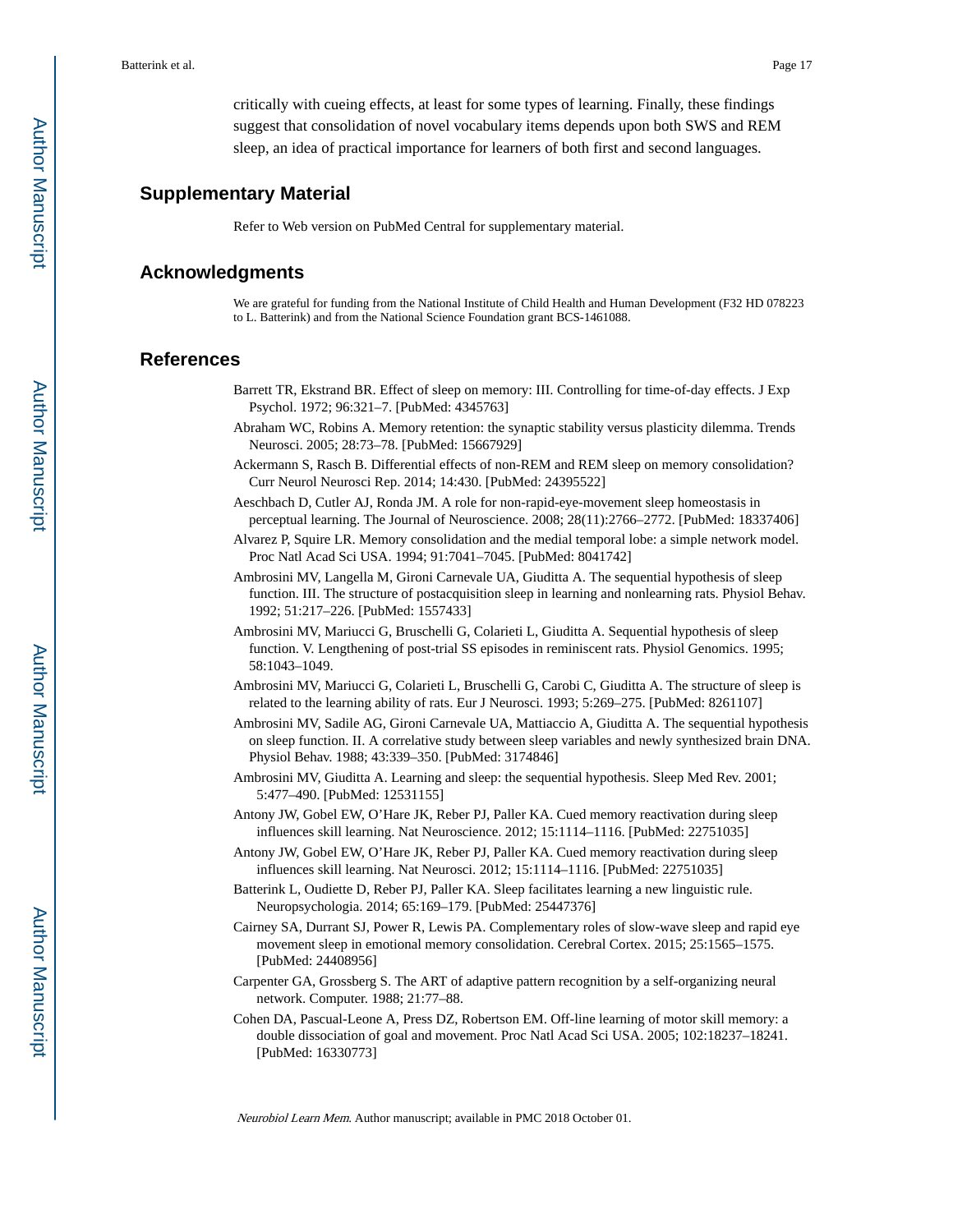critically with cueing effects, at least for some types of learning. Finally, these findings suggest that consolidation of novel vocabulary items depends upon both SWS and REM sleep, an idea of practical importance for learners of both first and second languages.

### **Supplementary Material**

Refer to Web version on PubMed Central for supplementary material.

### **Acknowledgments**

We are grateful for funding from the National Institute of Child Health and Human Development (F32 HD 078223 to L. Batterink) and from the National Science Foundation grant BCS-1461088.

#### **References**

- Barrett TR, Ekstrand BR. Effect of sleep on memory: III. Controlling for time-of-day effects. J Exp Psychol. 1972; 96:321–7. [PubMed: 4345763]
- Abraham WC, Robins A. Memory retention: the synaptic stability versus plasticity dilemma. Trends Neurosci. 2005; 28:73–78. [PubMed: 15667929]
- Ackermann S, Rasch B. Differential effects of non-REM and REM sleep on memory consolidation? Curr Neurol Neurosci Rep. 2014; 14:430. [PubMed: 24395522]
- Aeschbach D, Cutler AJ, Ronda JM. A role for non-rapid-eye-movement sleep homeostasis in perceptual learning. The Journal of Neuroscience. 2008; 28(11):2766–2772. [PubMed: 18337406]
- Alvarez P, Squire LR. Memory consolidation and the medial temporal lobe: a simple network model. Proc Natl Acad Sci USA. 1994; 91:7041–7045. [PubMed: 8041742]
- Ambrosini MV, Langella M, Gironi Carnevale UA, Giuditta A. The sequential hypothesis of sleep function. III. The structure of postacquisition sleep in learning and nonlearning rats. Physiol Behav. 1992; 51:217–226. [PubMed: 1557433]
- Ambrosini MV, Mariucci G, Bruschelli G, Colarieti L, Giuditta A. Sequential hypothesis of sleep function. V. Lengthening of post-trial SS episodes in reminiscent rats. Physiol Genomics. 1995; 58:1043–1049.
- Ambrosini MV, Mariucci G, Colarieti L, Bruschelli G, Carobi C, Giuditta A. The structure of sleep is related to the learning ability of rats. Eur J Neurosci. 1993; 5:269–275. [PubMed: 8261107]
- Ambrosini MV, Sadile AG, Gironi Carnevale UA, Mattiaccio A, Giuditta A. The sequential hypothesis on sleep function. II. A correlative study between sleep variables and newly synthesized brain DNA. Physiol Behav. 1988; 43:339–350. [PubMed: 3174846]
- Ambrosini MV, Giuditta A. Learning and sleep: the sequential hypothesis. Sleep Med Rev. 2001; 5:477–490. [PubMed: 12531155]
- Antony JW, Gobel EW, O'Hare JK, Reber PJ, Paller KA. Cued memory reactivation during sleep influences skill learning. Nat Neuroscience. 2012; 15:1114–1116. [PubMed: 22751035]
- Antony JW, Gobel EW, O'Hare JK, Reber PJ, Paller KA. Cued memory reactivation during sleep influences skill learning. Nat Neurosci. 2012; 15:1114–1116. [PubMed: 22751035]
- Batterink L, Oudiette D, Reber PJ, Paller KA. Sleep facilitates learning a new linguistic rule. Neuropsychologia. 2014; 65:169–179. [PubMed: 25447376]
- Cairney SA, Durrant SJ, Power R, Lewis PA. Complementary roles of slow-wave sleep and rapid eye movement sleep in emotional memory consolidation. Cerebral Cortex. 2015; 25:1565–1575. [PubMed: 24408956]
- Carpenter GA, Grossberg S. The ART of adaptive pattern recognition by a self-organizing neural network. Computer. 1988; 21:77–88.
- Cohen DA, Pascual-Leone A, Press DZ, Robertson EM. Off-line learning of motor skill memory: a double dissociation of goal and movement. Proc Natl Acad Sci USA. 2005; 102:18237–18241. [PubMed: 16330773]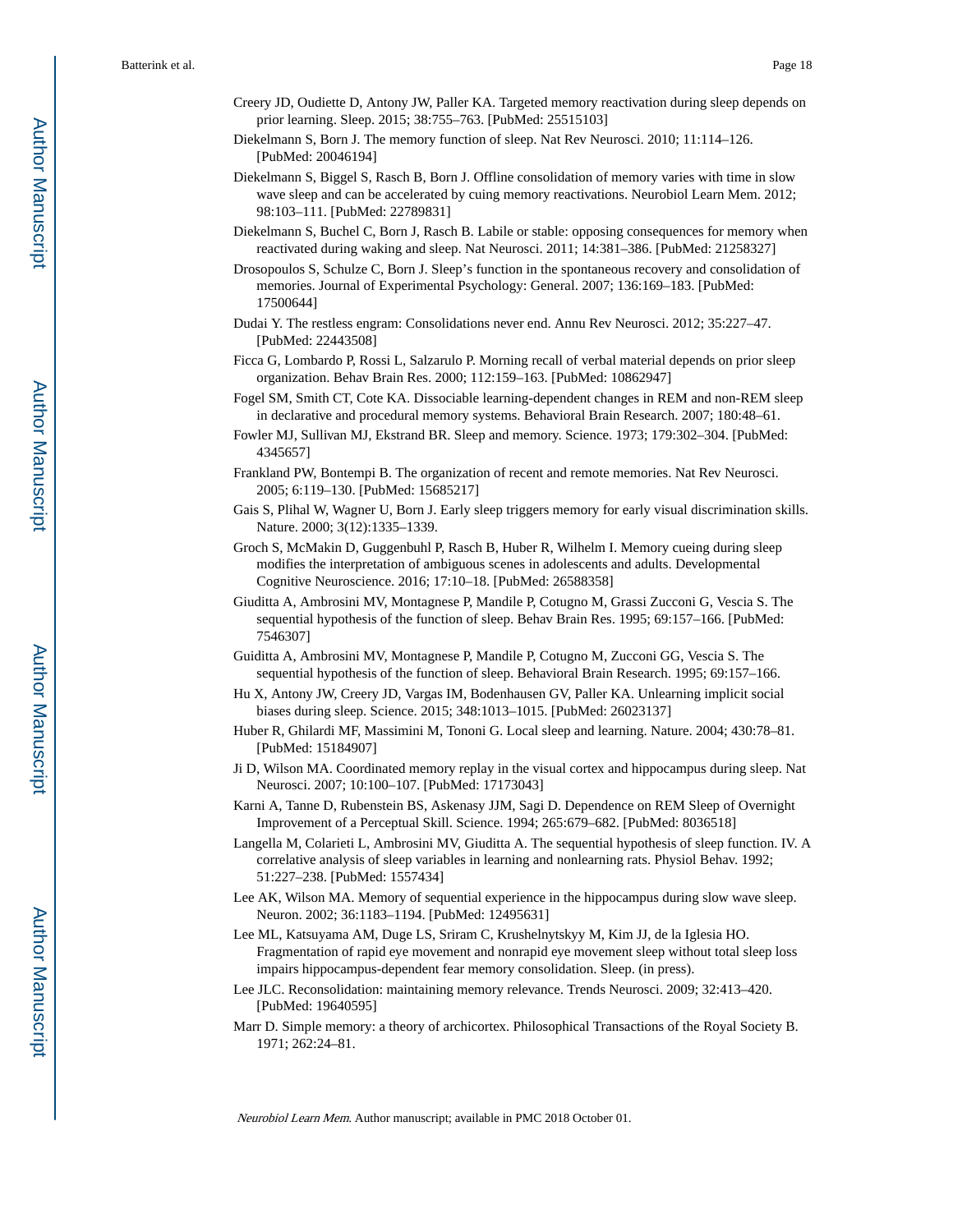- Creery JD, Oudiette D, Antony JW, Paller KA. Targeted memory reactivation during sleep depends on prior learning. Sleep. 2015; 38:755–763. [PubMed: 25515103]
- Diekelmann S, Born J. The memory function of sleep. Nat Rev Neurosci. 2010; 11:114–126. [PubMed: 20046194]
- Diekelmann S, Biggel S, Rasch B, Born J. Offline consolidation of memory varies with time in slow wave sleep and can be accelerated by cuing memory reactivations. Neurobiol Learn Mem. 2012; 98:103–111. [PubMed: 22789831]
- Diekelmann S, Buchel C, Born J, Rasch B. Labile or stable: opposing consequences for memory when reactivated during waking and sleep. Nat Neurosci. 2011; 14:381–386. [PubMed: 21258327]
- Drosopoulos S, Schulze C, Born J. Sleep's function in the spontaneous recovery and consolidation of memories. Journal of Experimental Psychology: General. 2007; 136:169–183. [PubMed: 17500644]
- Dudai Y. The restless engram: Consolidations never end. Annu Rev Neurosci. 2012; 35:227–47. [PubMed: 22443508]
- Ficca G, Lombardo P, Rossi L, Salzarulo P. Morning recall of verbal material depends on prior sleep organization. Behav Brain Res. 2000; 112:159–163. [PubMed: 10862947]
- Fogel SM, Smith CT, Cote KA. Dissociable learning-dependent changes in REM and non-REM sleep in declarative and procedural memory systems. Behavioral Brain Research. 2007; 180:48–61.
- Fowler MJ, Sullivan MJ, Ekstrand BR. Sleep and memory. Science. 1973; 179:302–304. [PubMed: 4345657]
- Frankland PW, Bontempi B. The organization of recent and remote memories. Nat Rev Neurosci. 2005; 6:119–130. [PubMed: 15685217]
- Gais S, Plihal W, Wagner U, Born J. Early sleep triggers memory for early visual discrimination skills. Nature. 2000; 3(12):1335–1339.
- Groch S, McMakin D, Guggenbuhl P, Rasch B, Huber R, Wilhelm I. Memory cueing during sleep modifies the interpretation of ambiguous scenes in adolescents and adults. Developmental Cognitive Neuroscience. 2016; 17:10–18. [PubMed: 26588358]
- Giuditta A, Ambrosini MV, Montagnese P, Mandile P, Cotugno M, Grassi Zucconi G, Vescia S. The sequential hypothesis of the function of sleep. Behav Brain Res. 1995; 69:157–166. [PubMed: 7546307]
- Guiditta A, Ambrosini MV, Montagnese P, Mandile P, Cotugno M, Zucconi GG, Vescia S. The sequential hypothesis of the function of sleep. Behavioral Brain Research. 1995; 69:157–166.
- Hu X, Antony JW, Creery JD, Vargas IM, Bodenhausen GV, Paller KA. Unlearning implicit social biases during sleep. Science. 2015; 348:1013–1015. [PubMed: 26023137]
- Huber R, Ghilardi MF, Massimini M, Tononi G. Local sleep and learning. Nature. 2004; 430:78–81. [PubMed: 15184907]
- Ji D, Wilson MA. Coordinated memory replay in the visual cortex and hippocampus during sleep. Nat Neurosci. 2007; 10:100–107. [PubMed: 17173043]
- Karni A, Tanne D, Rubenstein BS, Askenasy JJM, Sagi D. Dependence on REM Sleep of Overnight Improvement of a Perceptual Skill. Science. 1994; 265:679–682. [PubMed: 8036518]
- Langella M, Colarieti L, Ambrosini MV, Giuditta A. The sequential hypothesis of sleep function. IV. A correlative analysis of sleep variables in learning and nonlearning rats. Physiol Behav. 1992; 51:227–238. [PubMed: 1557434]
- Lee AK, Wilson MA. Memory of sequential experience in the hippocampus during slow wave sleep. Neuron. 2002; 36:1183–1194. [PubMed: 12495631]
- Lee ML, Katsuyama AM, Duge LS, Sriram C, Krushelnytskyy M, Kim JJ, de la Iglesia HO. Fragmentation of rapid eye movement and nonrapid eye movement sleep without total sleep loss impairs hippocampus-dependent fear memory consolidation. Sleep. (in press).
- Lee JLC. Reconsolidation: maintaining memory relevance. Trends Neurosci. 2009; 32:413–420. [PubMed: 19640595]
- Marr D. Simple memory: a theory of archicortex. Philosophical Transactions of the Royal Society B. 1971; 262:24–81.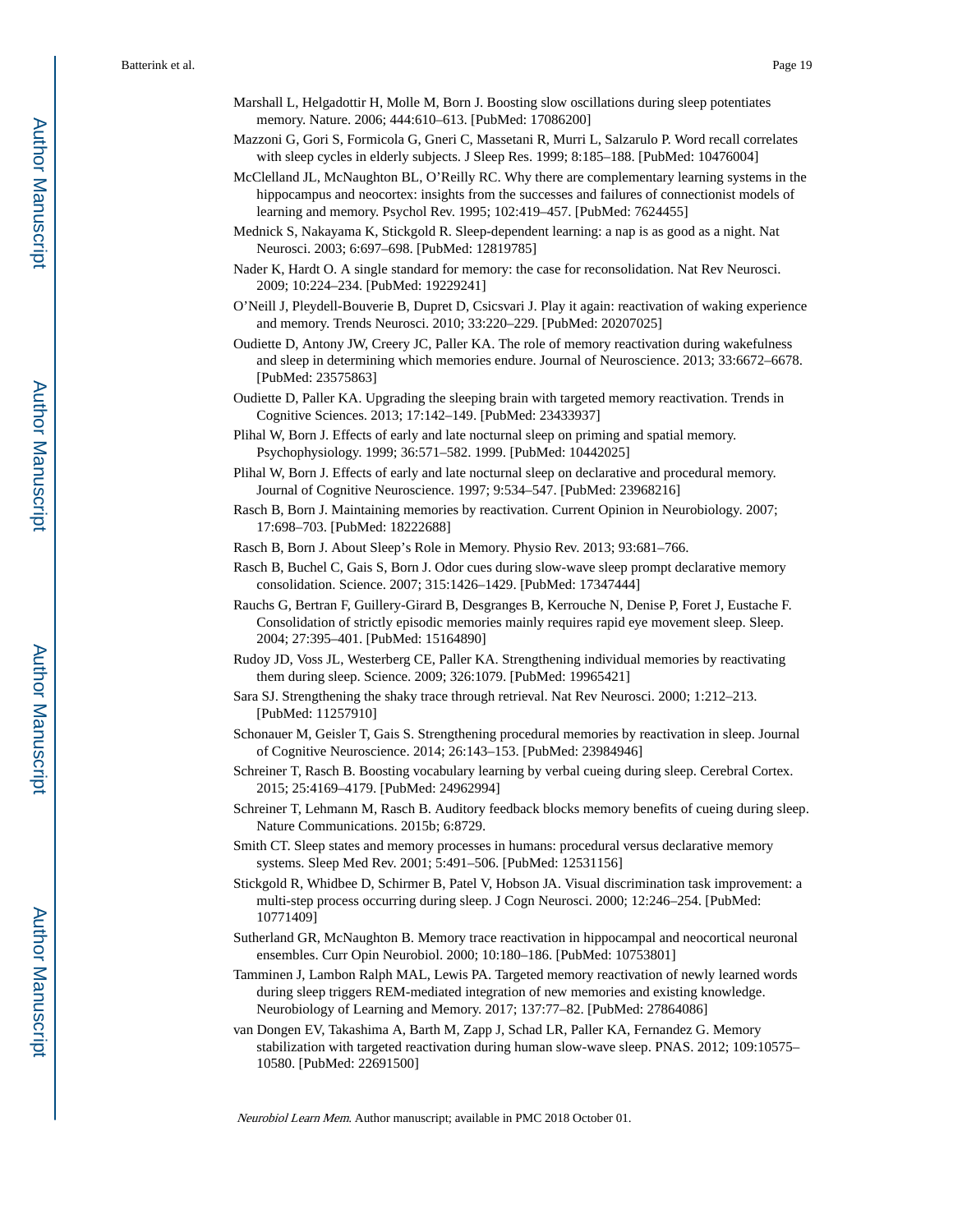- Marshall L, Helgadottir H, Molle M, Born J. Boosting slow oscillations during sleep potentiates memory. Nature. 2006; 444:610–613. [PubMed: 17086200]
- Mazzoni G, Gori S, Formicola G, Gneri C, Massetani R, Murri L, Salzarulo P. Word recall correlates with sleep cycles in elderly subjects. J Sleep Res. 1999; 8:185–188. [PubMed: 10476004]
- McClelland JL, McNaughton BL, O'Reilly RC. Why there are complementary learning systems in the hippocampus and neocortex: insights from the successes and failures of connectionist models of learning and memory. Psychol Rev. 1995; 102:419–457. [PubMed: 7624455]
- Mednick S, Nakayama K, Stickgold R. Sleep-dependent learning: a nap is as good as a night. Nat Neurosci. 2003; 6:697–698. [PubMed: 12819785]
- Nader K, Hardt O. A single standard for memory: the case for reconsolidation. Nat Rev Neurosci. 2009; 10:224–234. [PubMed: 19229241]
- O'Neill J, Pleydell-Bouverie B, Dupret D, Csicsvari J. Play it again: reactivation of waking experience and memory. Trends Neurosci. 2010; 33:220–229. [PubMed: 20207025]
- Oudiette D, Antony JW, Creery JC, Paller KA. The role of memory reactivation during wakefulness and sleep in determining which memories endure. Journal of Neuroscience. 2013; 33:6672–6678. [PubMed: 23575863]
- Oudiette D, Paller KA. Upgrading the sleeping brain with targeted memory reactivation. Trends in Cognitive Sciences. 2013; 17:142–149. [PubMed: 23433937]
- Plihal W, Born J. Effects of early and late nocturnal sleep on priming and spatial memory. Psychophysiology. 1999; 36:571–582. 1999. [PubMed: 10442025]
- Plihal W, Born J. Effects of early and late nocturnal sleep on declarative and procedural memory. Journal of Cognitive Neuroscience. 1997; 9:534–547. [PubMed: 23968216]
- Rasch B, Born J. Maintaining memories by reactivation. Current Opinion in Neurobiology. 2007; 17:698–703. [PubMed: 18222688]

Rasch B, Born J. About Sleep's Role in Memory. Physio Rev. 2013; 93:681–766.

- Rasch B, Buchel C, Gais S, Born J. Odor cues during slow-wave sleep prompt declarative memory consolidation. Science. 2007; 315:1426–1429. [PubMed: 17347444]
- Rauchs G, Bertran F, Guillery-Girard B, Desgranges B, Kerrouche N, Denise P, Foret J, Eustache F. Consolidation of strictly episodic memories mainly requires rapid eye movement sleep. Sleep. 2004; 27:395–401. [PubMed: 15164890]
- Rudoy JD, Voss JL, Westerberg CE, Paller KA. Strengthening individual memories by reactivating them during sleep. Science. 2009; 326:1079. [PubMed: 19965421]
- Sara SJ. Strengthening the shaky trace through retrieval. Nat Rev Neurosci. 2000; 1:212–213. [PubMed: 11257910]
- Schonauer M, Geisler T, Gais S. Strengthening procedural memories by reactivation in sleep. Journal of Cognitive Neuroscience. 2014; 26:143–153. [PubMed: 23984946]
- Schreiner T, Rasch B. Boosting vocabulary learning by verbal cueing during sleep. Cerebral Cortex. 2015; 25:4169–4179. [PubMed: 24962994]
- Schreiner T, Lehmann M, Rasch B. Auditory feedback blocks memory benefits of cueing during sleep. Nature Communications. 2015b; 6:8729.
- Smith CT. Sleep states and memory processes in humans: procedural versus declarative memory systems. Sleep Med Rev. 2001; 5:491–506. [PubMed: 12531156]
- Stickgold R, Whidbee D, Schirmer B, Patel V, Hobson JA. Visual discrimination task improvement: a multi-step process occurring during sleep. J Cogn Neurosci. 2000; 12:246–254. [PubMed: 10771409]
- Sutherland GR, McNaughton B. Memory trace reactivation in hippocampal and neocortical neuronal ensembles. Curr Opin Neurobiol. 2000; 10:180–186. [PubMed: 10753801]
- Tamminen J, Lambon Ralph MAL, Lewis PA. Targeted memory reactivation of newly learned words during sleep triggers REM-mediated integration of new memories and existing knowledge. Neurobiology of Learning and Memory. 2017; 137:77–82. [PubMed: 27864086]
- van Dongen EV, Takashima A, Barth M, Zapp J, Schad LR, Paller KA, Fernandez G. Memory stabilization with targeted reactivation during human slow-wave sleep. PNAS. 2012; 109:10575– 10580. [PubMed: 22691500]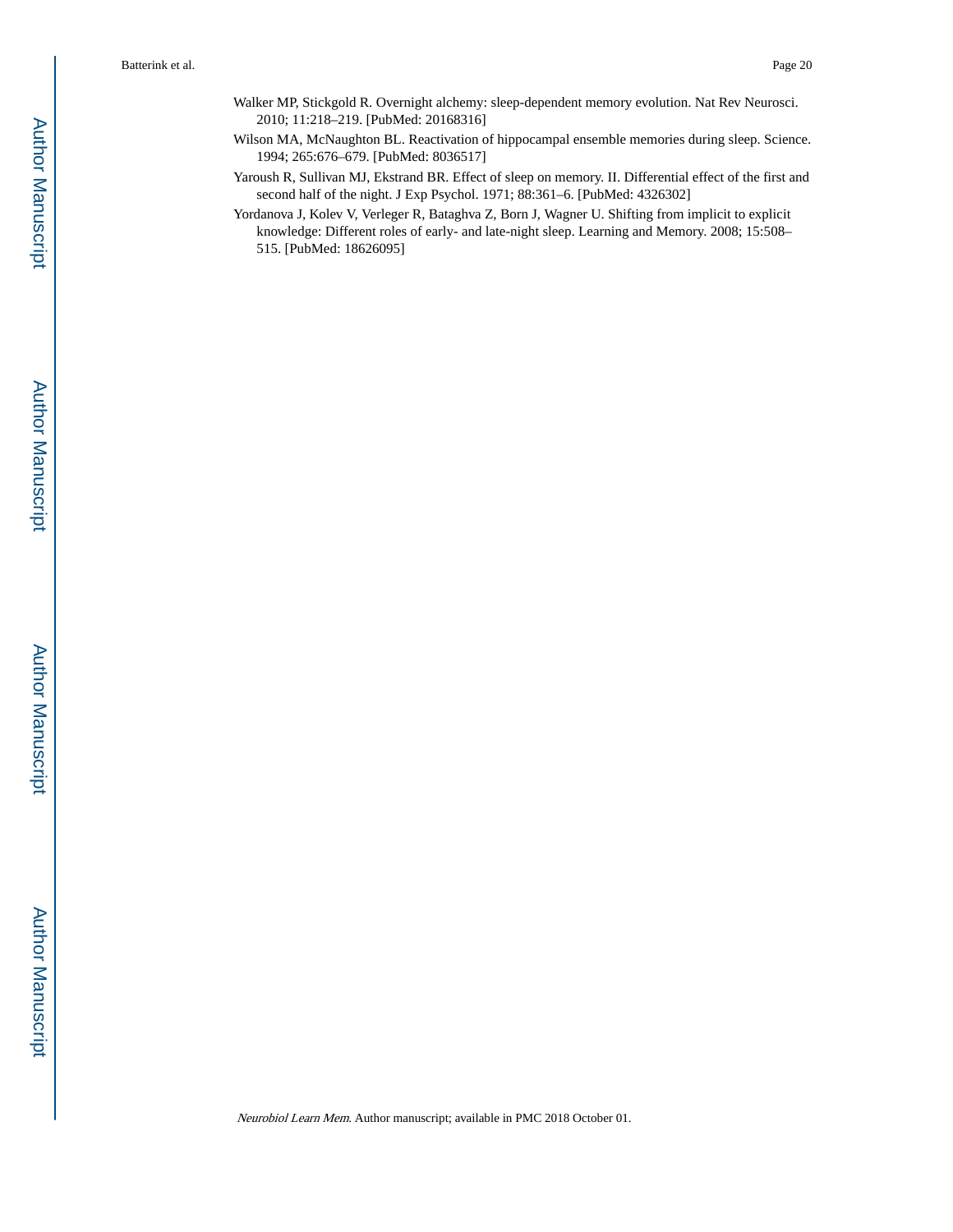- Walker MP, Stickgold R. Overnight alchemy: sleep-dependent memory evolution. Nat Rev Neurosci. 2010; 11:218–219. [PubMed: 20168316]
- Wilson MA, McNaughton BL. Reactivation of hippocampal ensemble memories during sleep. Science. 1994; 265:676–679. [PubMed: 8036517]
- Yaroush R, Sullivan MJ, Ekstrand BR. Effect of sleep on memory. II. Differential effect of the first and second half of the night. J Exp Psychol. 1971; 88:361–6. [PubMed: 4326302]
- Yordanova J, Kolev V, Verleger R, Bataghva Z, Born J, Wagner U. Shifting from implicit to explicit knowledge: Different roles of early- and late-night sleep. Learning and Memory. 2008; 15:508– 515. [PubMed: 18626095]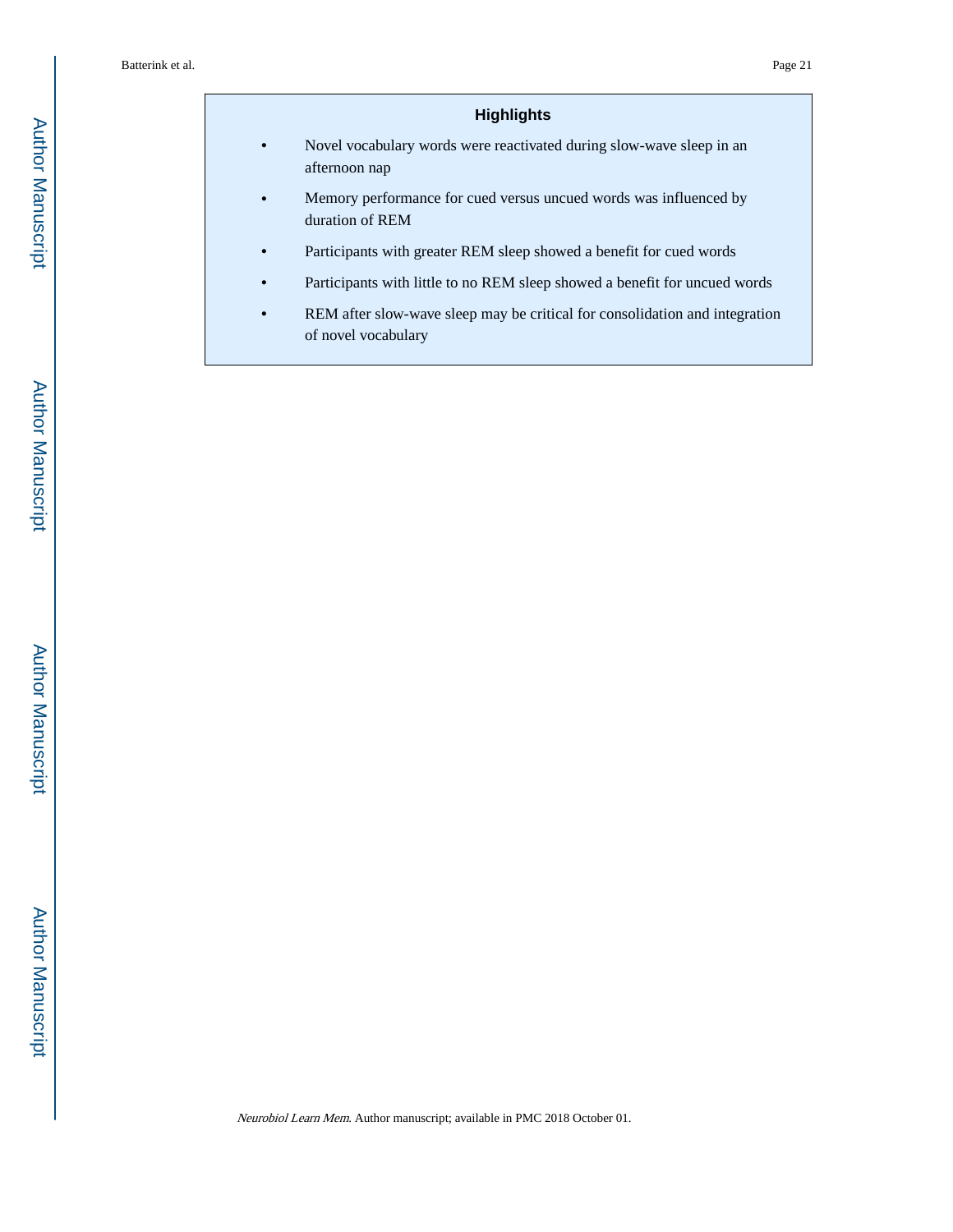### **Highlights**

- **•** Novel vocabulary words were reactivated during slow-wave sleep in an afternoon nap
- **•** Memory performance for cued versus uncued words was influenced by duration of REM
- **•** Participants with greater REM sleep showed a benefit for cued words
- **•** Participants with little to no REM sleep showed a benefit for uncued words
- **•** REM after slow-wave sleep may be critical for consolidation and integration of novel vocabulary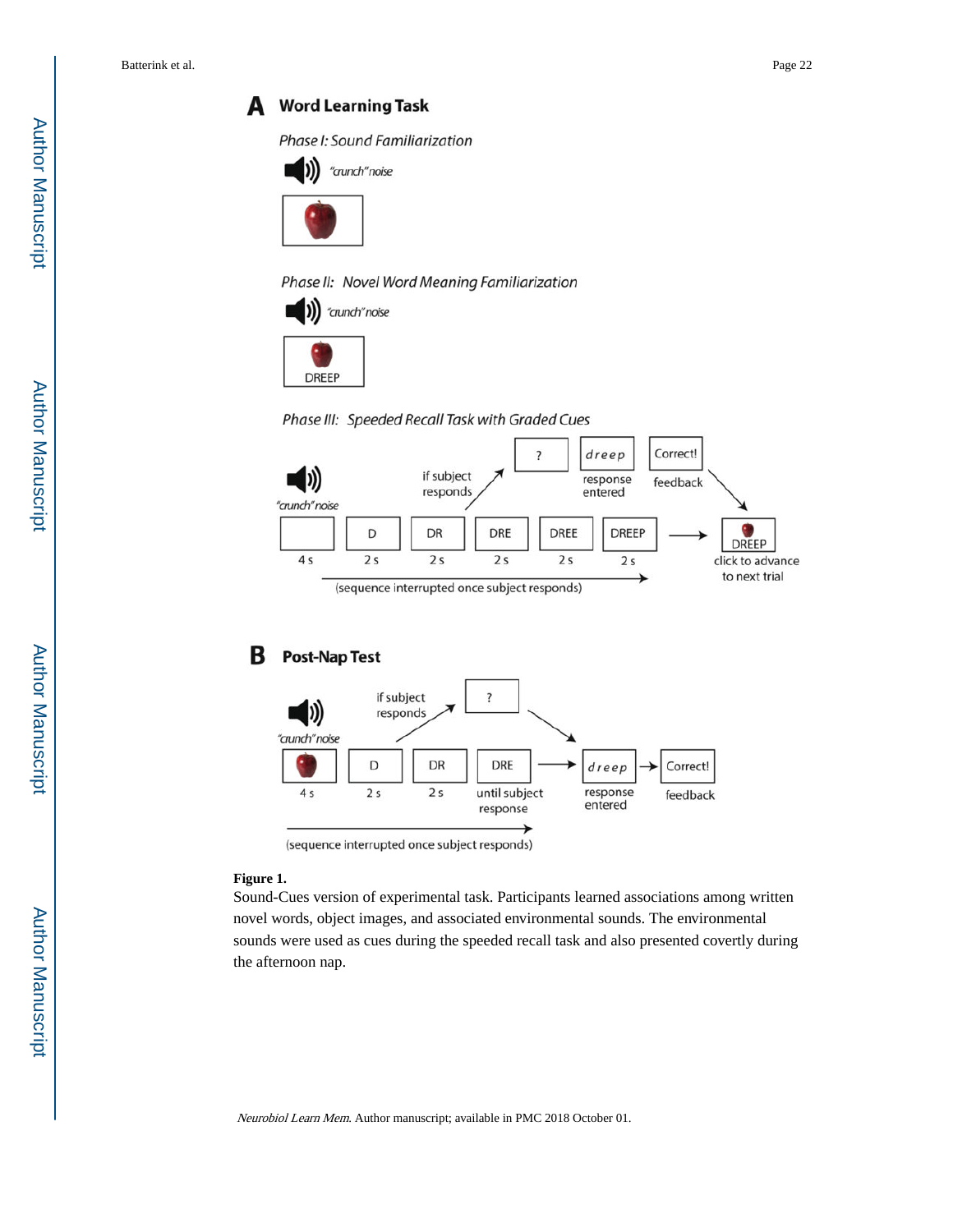### A Word Learning Task

Phase I: Sound Familiarization





Phase II: Novel Word Meaning Familiarization





Phase III: Speeded Recall Task with Graded Cues



#### В **Post-Nap Test**



<sup>(</sup>sequence interrupted once subject responds)

#### **Figure 1.**

Sound-Cues version of experimental task. Participants learned associations among written novel words, object images, and associated environmental sounds. The environmental sounds were used as cues during the speeded recall task and also presented covertly during the afternoon nap.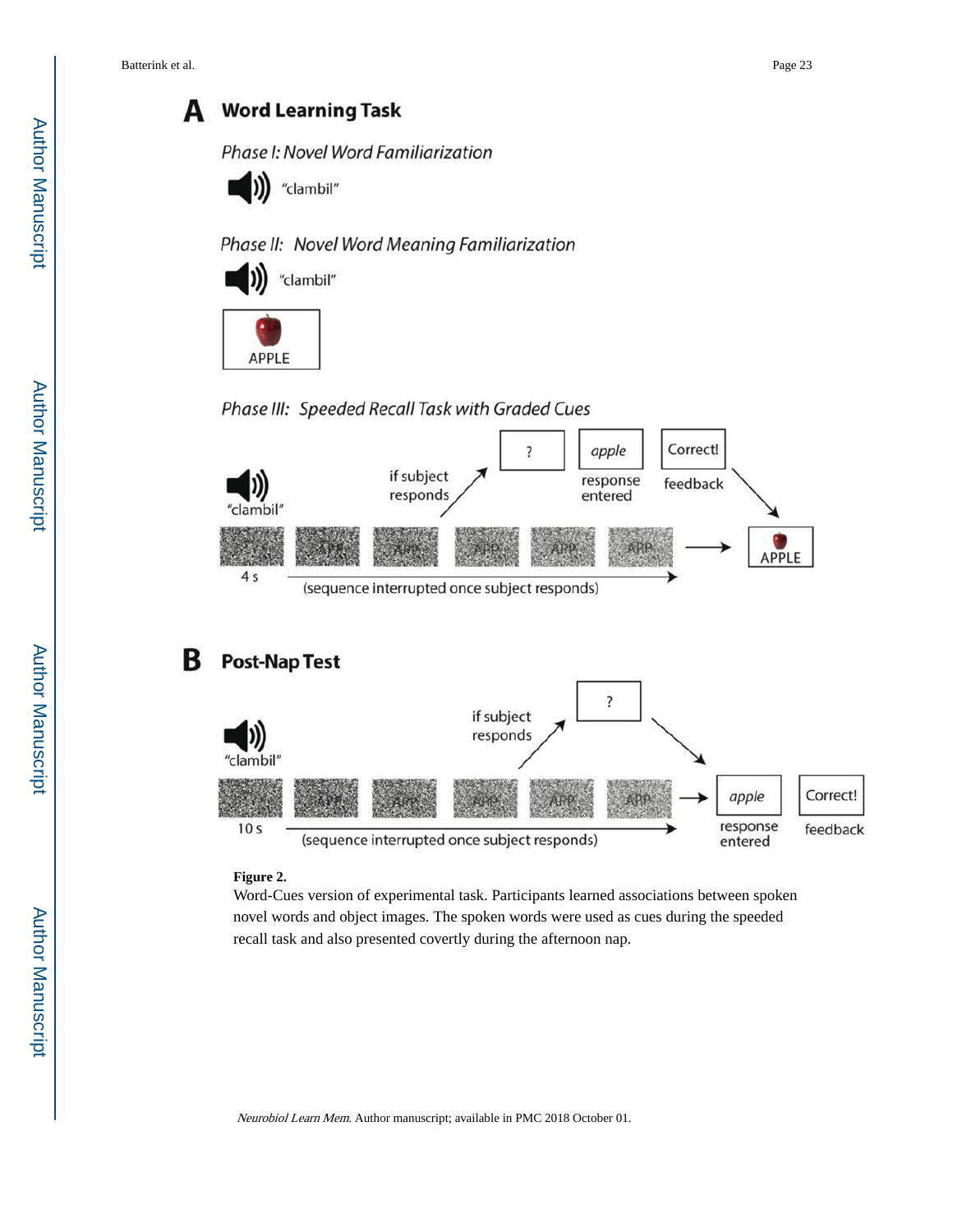А

response

entered

feedback

# **Word Learning Task**

### Phase I: Novel Word Familiarization



### Phase II: Novel Word Meaning Familiarization





### Phase III: Speeded Recall Task with Graded Cues



### **Figure 2.**

 $10<sub>s</sub>$ 

Word-Cues version of experimental task. Participants learned associations between spoken novel words and object images. The spoken words were used as cues during the speeded recall task and also presented covertly during the afternoon nap.

(sequence interrupted once subject responds)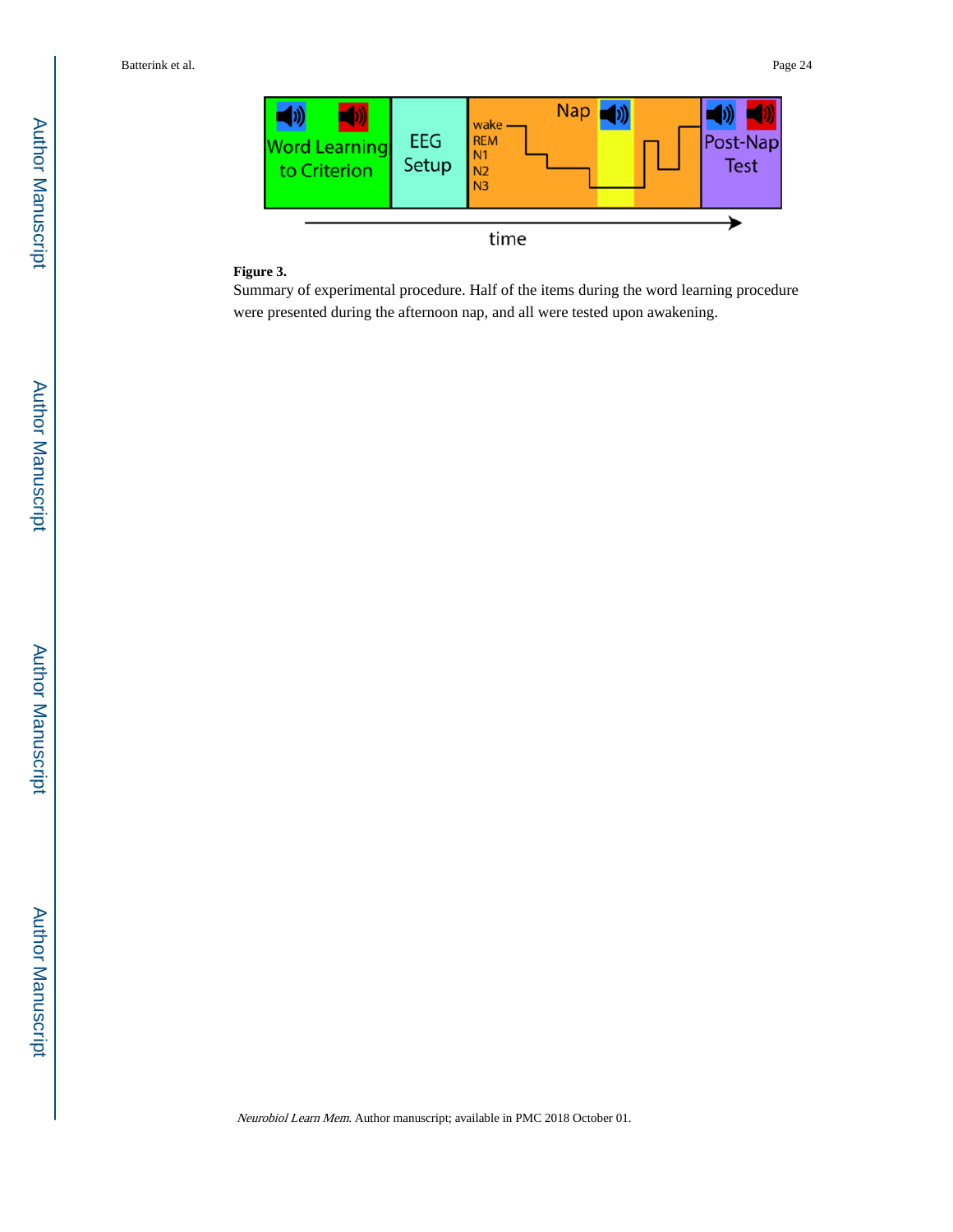

#### **Figure 3.**

Summary of experimental procedure. Half of the items during the word learning procedure were presented during the afternoon nap, and all were tested upon awakening.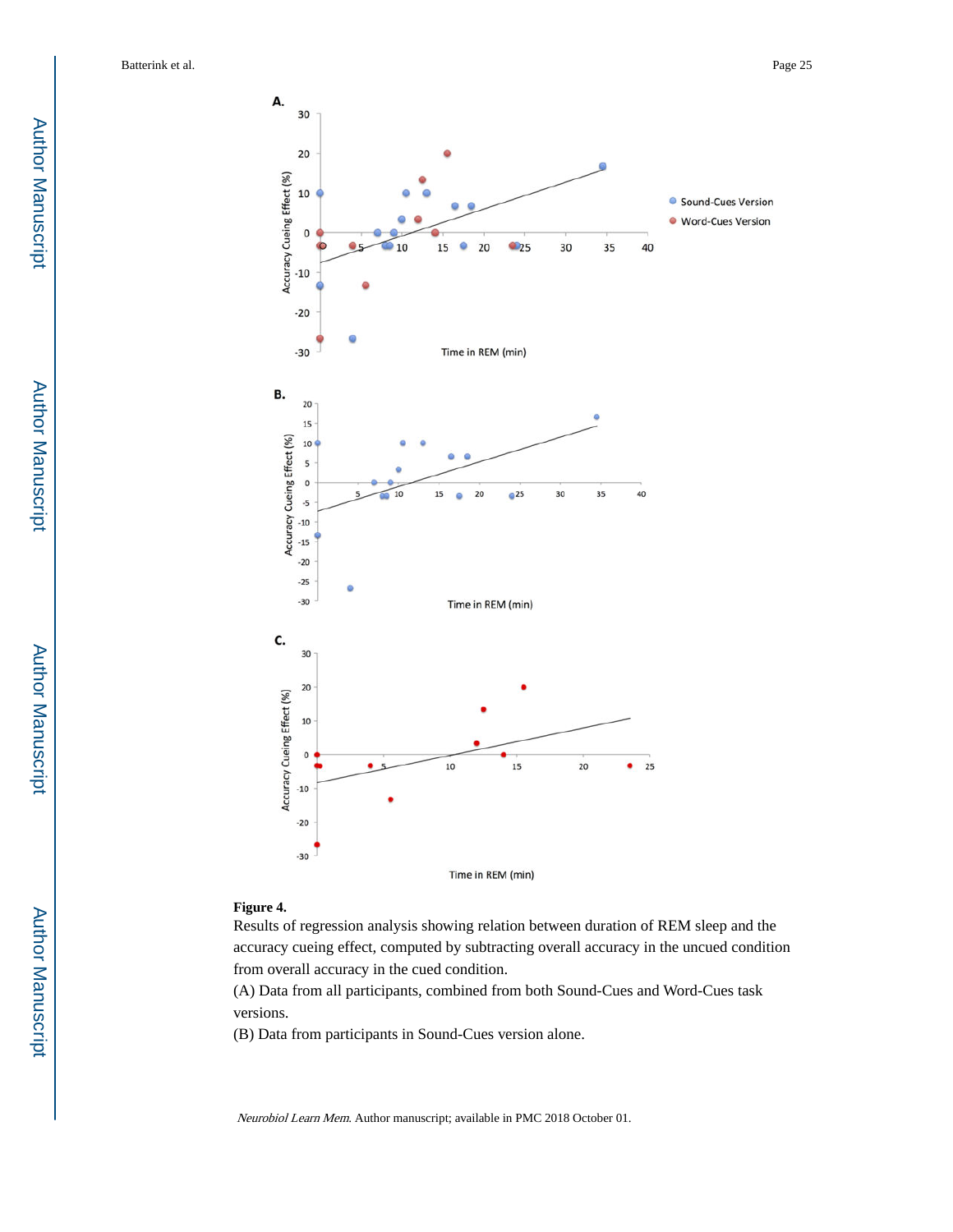

#### **Figure 4.**

Results of regression analysis showing relation between duration of REM sleep and the accuracy cueing effect, computed by subtracting overall accuracy in the uncued condition from overall accuracy in the cued condition.

(A) Data from all participants, combined from both Sound-Cues and Word-Cues task versions.

(B) Data from participants in Sound-Cues version alone.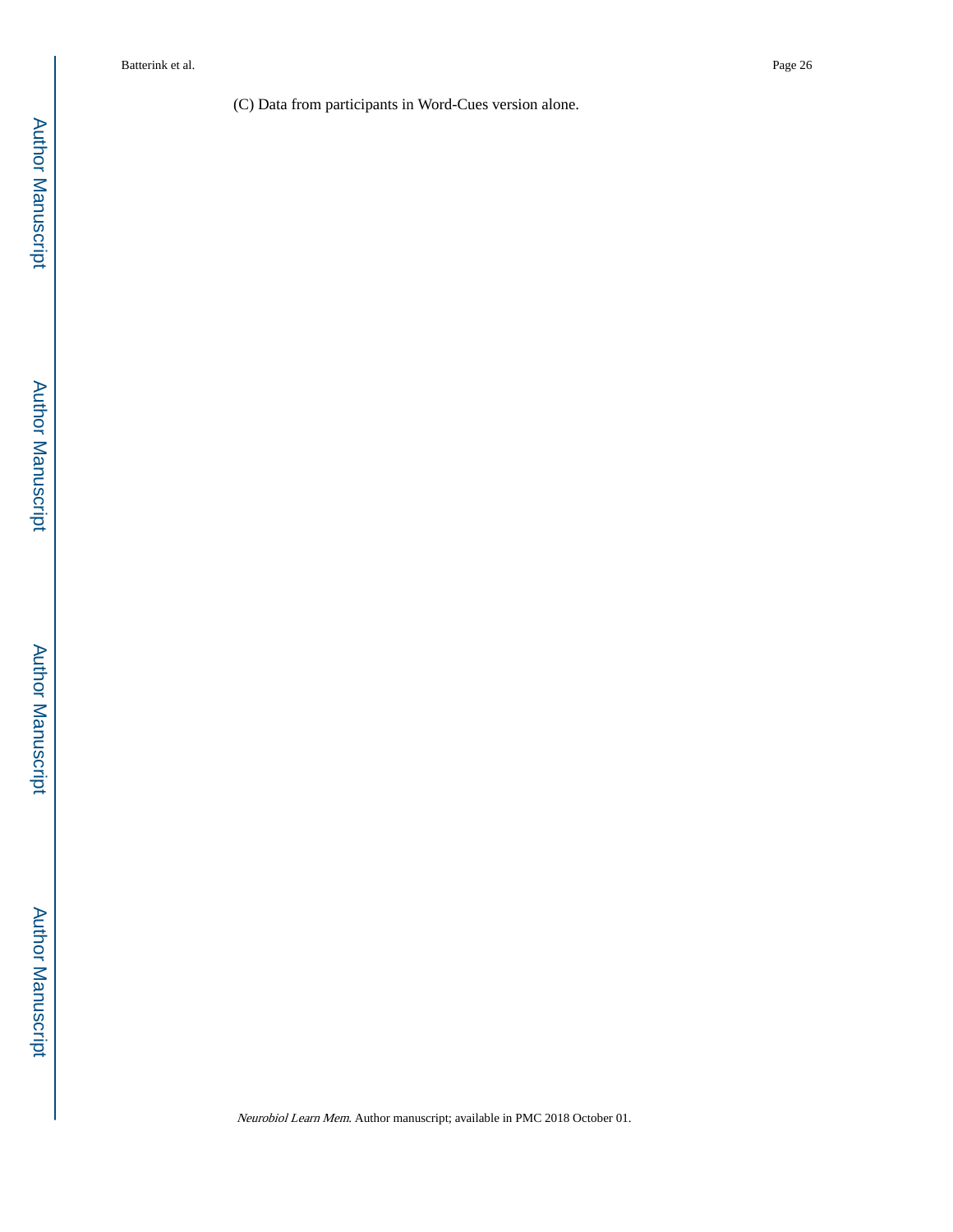(C) Data from participants in Word-Cues version alone.